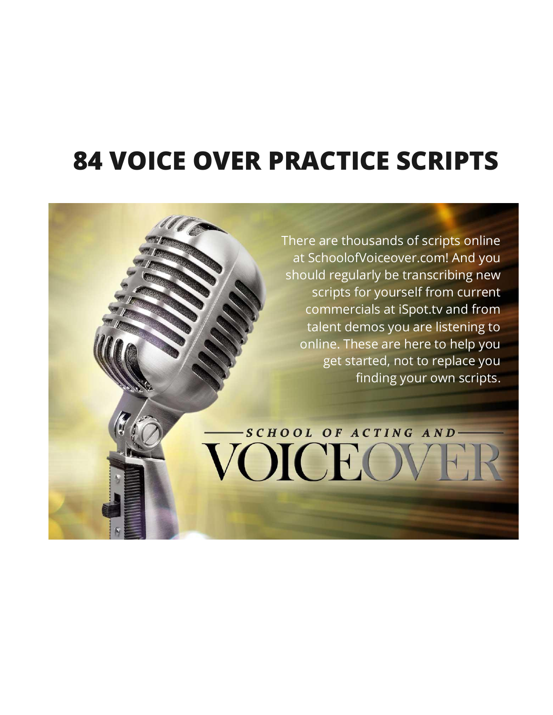# **84 VOICE OVER PRACTICE SCRIPTS**

There are thousands of scripts online at SchoolofVoiceover.com! And you should regularly be transcribing new scripts for yourself from current commercials at iSpot.tv and from talent demos you are listening to online. These are here to help you get started, not to replace you finding your own scripts.

-SCHOOL OF ACTING AND

VOICEO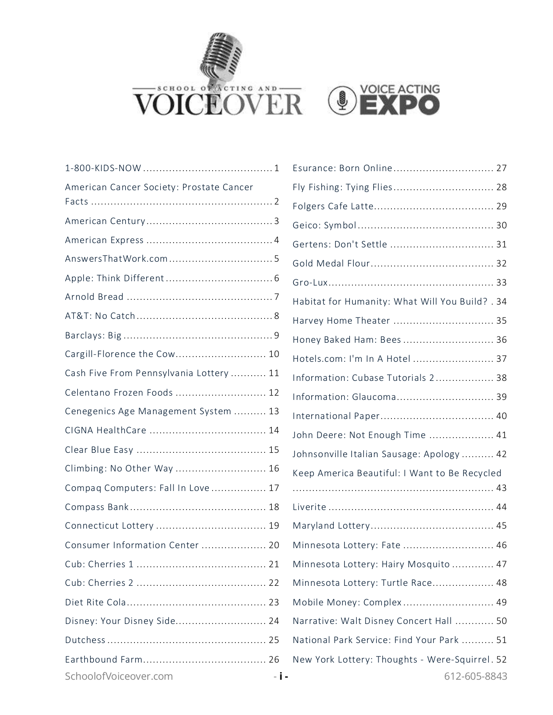



| American Cancer Society: Prostate Cancer |
|------------------------------------------|
|                                          |
|                                          |
|                                          |
|                                          |
|                                          |
|                                          |
|                                          |
|                                          |
| Cargill-Florence the Cow 10              |
| Cash Five From Pennsylvania Lottery  11  |
| Celentano Frozen Foods  12               |
| Cenegenics Age Management System  13     |
|                                          |
|                                          |
| Climbing: No Other Way  16               |
| Compaq Computers: Fall In Love  17       |
|                                          |
|                                          |
| Consumer Information Center  20          |
|                                          |
|                                          |
|                                          |
| Disney: Your Disney Side 24              |
|                                          |
|                                          |
| SchoolofVoiceover.com<br>- i -           |

| Esurance: Born Online 27                                       |
|----------------------------------------------------------------|
| Fly Fishing: Tying Flies 28                                    |
|                                                                |
|                                                                |
| Gertens: Don't Settle  31                                      |
|                                                                |
|                                                                |
| Habitat for Humanity: What Will You Build? . 34                |
| Harvey Home Theater  35                                        |
| Honey Baked Ham: Bees 36                                       |
| Hotels.com: I'm In A Hotel  37                                 |
| Information: Cubase Tutorials 2 38                             |
| Information: Glaucoma 39                                       |
|                                                                |
| John Deere: Not Enough Time  41                                |
| Johnsonville Italian Sausage: Apology  42                      |
| Keep America Beautiful: I Want to Be Recycled                  |
|                                                                |
|                                                                |
| Minnesota Lottery: Fate  46                                    |
| Minnesota Lottery: Hairy Mosquito  47                          |
| Minnesota Lottery: Turtle Race 48                              |
| Mobile Money: Complex 49                                       |
| Narrative: Walt Disney Concert Hall  50                        |
| National Park Service: Find Your Park  51                      |
| New York Lottery: Thoughts - Were-Squirrel. 52<br>612-605-8843 |
|                                                                |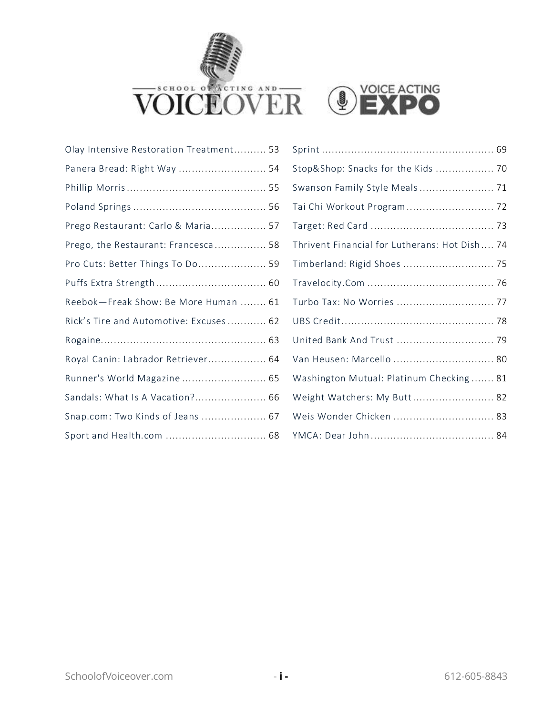



| Olay Intensive Restoration Treatment 53 |  |
|-----------------------------------------|--|
| Panera Bread: Right Way  54             |  |
|                                         |  |
|                                         |  |
| Prego Restaurant: Carlo & Maria 57      |  |
| Prego, the Restaurant: Francesca 58     |  |
| Pro Cuts: Better Things To Do 59        |  |
|                                         |  |
| Reebok-Freak Show: Be More Human  61    |  |
| Rick's Tire and Automotive: Excuses  62 |  |
|                                         |  |
| Royal Canin: Labrador Retriever 64      |  |
| Runner's World Magazine  65             |  |
| Sandals: What Is A Vacation? 66         |  |
| Snap.com: Two Kinds of Jeans  67        |  |
| Sport and Health.com  68                |  |

| Stop&Shop: Snacks for the Kids  70            |
|-----------------------------------------------|
| Swanson Family Style Meals  71                |
| Tai Chi Workout Program 72                    |
|                                               |
| Thrivent Financial for Lutherans: Hot Dish 74 |
| Timberland: Rigid Shoes  75                   |
|                                               |
| Turbo Tax: No Worries  77                     |
|                                               |
| United Bank And Trust  79                     |
| Van Heusen: Marcello  80                      |
| Washington Mutual: Platinum Checking  81      |
| Weight Watchers: My Butt 82                   |
| Weis Wonder Chicken  83                       |
|                                               |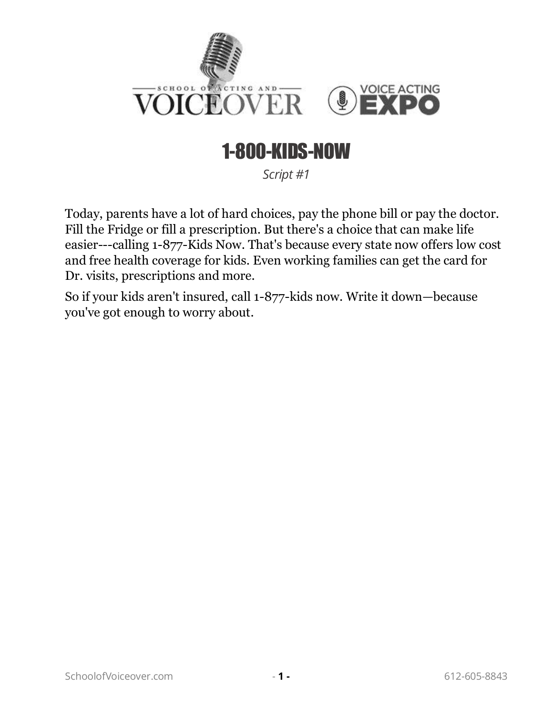

## 1-800-KIDS-NOW

*Script #1*

<span id="page-3-0"></span>Today, parents have a lot of hard choices, pay the phone bill or pay the doctor. Fill the Fridge or fill a prescription. But there's a choice that can make life easier---calling 1-877-Kids Now. That's because every state now offers low cost and free health coverage for kids. Even working families can get the card for Dr. visits, prescriptions and more.

So if your kids aren't insured, call 1-877-kids now. Write it down—because you've got enough to worry about.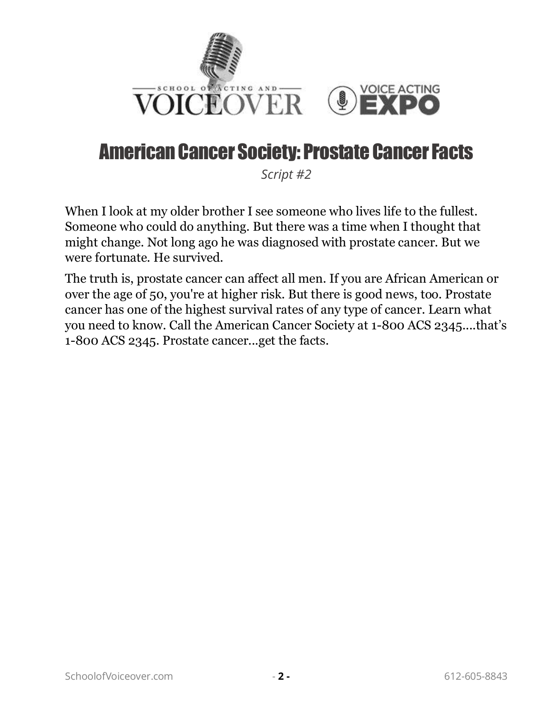

#### <span id="page-4-0"></span>American Cancer Society: Prostate Cancer Facts

*Script #2*

When I look at my older brother I see someone who lives life to the fullest. Someone who could do anything. But there was a time when I thought that might change. Not long ago he was diagnosed with prostate cancer. But we were fortunate. He survived.

The truth is, prostate cancer can affect all men. If you are African American or over the age of 50, you're at higher risk. But there is good news, too. Prostate cancer has one of the highest survival rates of any type of cancer. Learn what you need to know. Call the American Cancer Society at 1-800 ACS 2345....that's 1-800 ACS 2345. Prostate cancer...get the facts.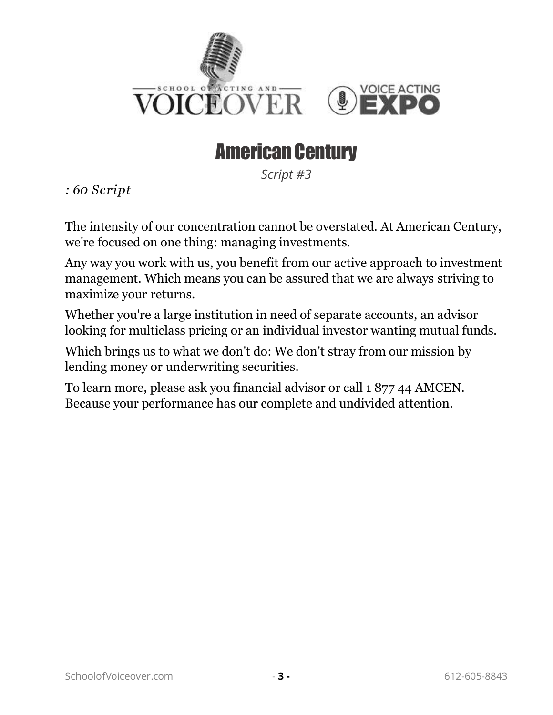

#### American Century

*Script #3*

<span id="page-5-0"></span>*: 60 Script* 

The intensity of our concentration cannot be overstated. At American Century, we're focused on one thing: managing investments.

Any way you work with us, you benefit from our active approach to investment management. Which means you can be assured that we are always striving to maximize your returns.

Whether you're a large institution in need of separate accounts, an advisor looking for multiclass pricing or an individual investor wanting mutual funds.

Which brings us to what we don't do: We don't stray from our mission by lending money or underwriting securities.

To learn more, please ask you financial advisor or call 1 877 44 AMCEN. Because your performance has our complete and undivided attention.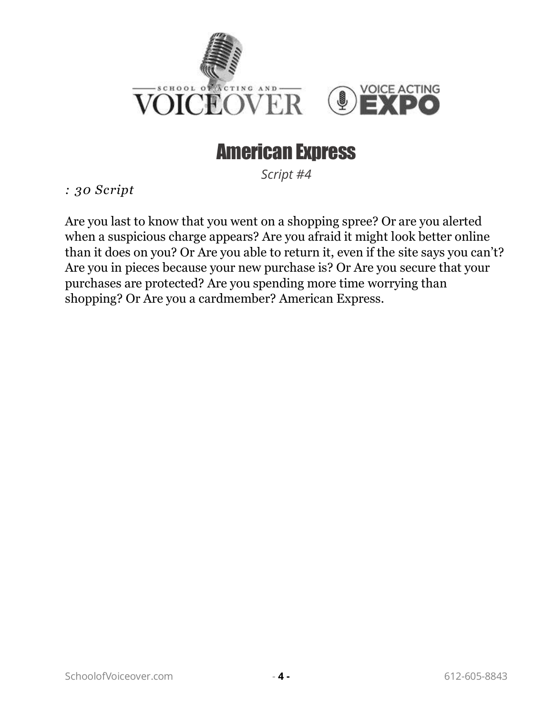

#### American Express

*Script #4*

<span id="page-6-0"></span>*: 30 Script* 

Are you last to know that you went on a shopping spree? Or are you alerted when a suspicious charge appears? Are you afraid it might look better online than it does on you? Or Are you able to return it, even if the site says you can't? Are you in pieces because your new purchase is? Or Are you secure that your purchases are protected? Are you spending more time worrying than shopping? Or Are you a cardmember? American Express.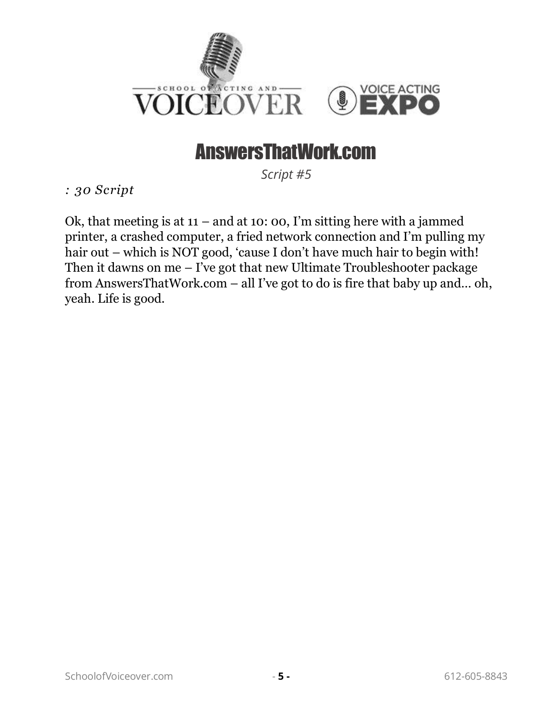

#### AnswersThatWork.com

*Script #5*

<span id="page-7-0"></span>*: 30 Script* 

Ok, that meeting is at  $11 -$  and at 10: 00, I'm sitting here with a jammed printer, a crashed computer, a fried network connection and I'm pulling my hair out – which is NOT good, 'cause I don't have much hair to begin with! Then it dawns on me – I've got that new Ultimate Troubleshooter package from AnswersThatWork.com – all I've got to do is fire that baby up and… oh, yeah. Life is good.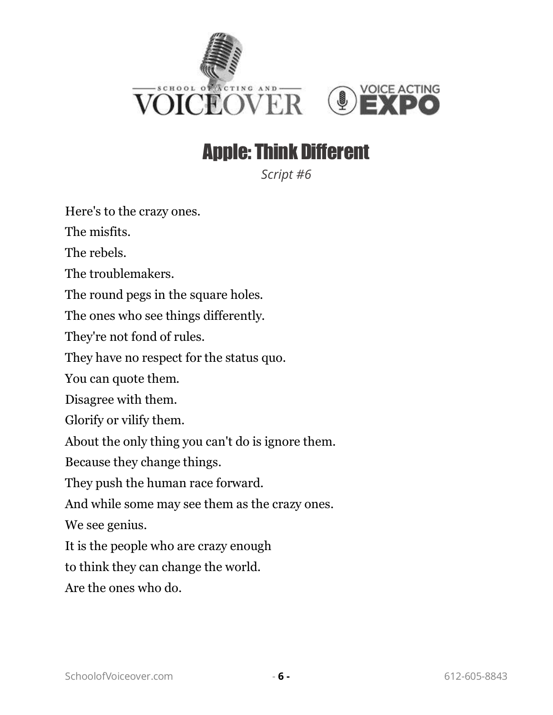

#### Apple: Think Different

*Script #6*

<span id="page-8-0"></span>Here's to the crazy ones.

The misfits.

The rebels.

The troublemakers.

The round pegs in the square holes.

The ones who see things differently.

They're not fond of rules.

They have no respect for the status quo.

You can quote them.

Disagree with them.

Glorify or vilify them.

About the only thing you can't do is ignore them.

Because they change things.

They push the human race forward.

And while some may see them as the crazy ones.

We see genius.

It is the people who are crazy enough

to think they can change the world.

Are the ones who do.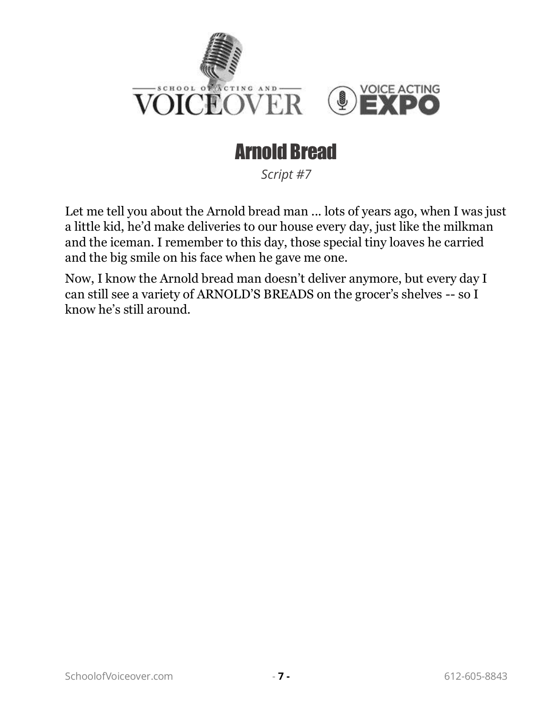

## Arnold Bread

*Script #7*

<span id="page-9-0"></span>Let me tell you about the Arnold bread man ... lots of years ago, when I was just a little kid, he'd make deliveries to our house every day, just like the milkman and the iceman. I remember to this day, those special tiny loaves he carried and the big smile on his face when he gave me one.

Now, I know the Arnold bread man doesn't deliver anymore, but every day I can still see a variety of ARNOLD'S BREADS on the grocer's shelves -- so I know he's still around.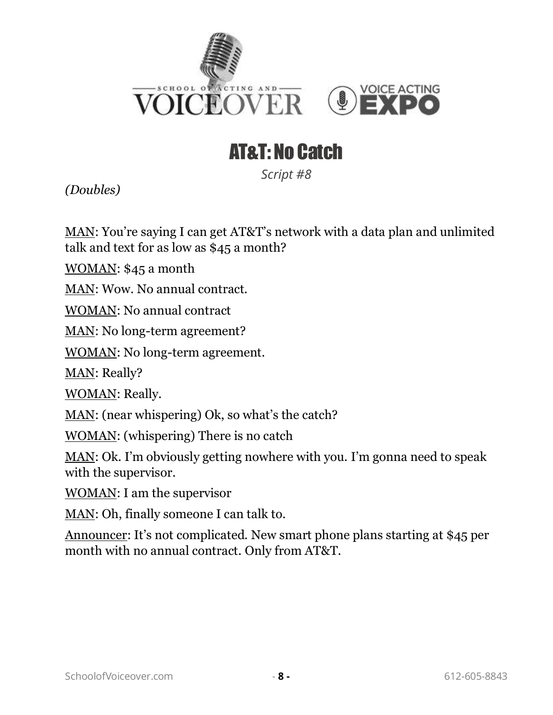

## AT&T: No Catch

*Script #8*

<span id="page-10-0"></span>*(Doubles)*

MAN: You're saying I can get AT&T's network with a data plan and unlimited talk and text for as low as \$45 a month?

WOMAN: \$45 a month

MAN: Wow. No annual contract.

WOMAN: No annual contract

MAN: No long-term agreement?

WOMAN: No long-term agreement.

MAN: Really?

WOMAN: Really.

MAN: (near whispering) Ok, so what's the catch?

WOMAN: (whispering) There is no catch

MAN: Ok. I'm obviously getting nowhere with you. I'm gonna need to speak with the supervisor.

WOMAN: I am the supervisor

MAN: Oh, finally someone I can talk to.

Announcer: It's not complicated. New smart phone plans starting at \$45 per month with no annual contract. Only from AT&T.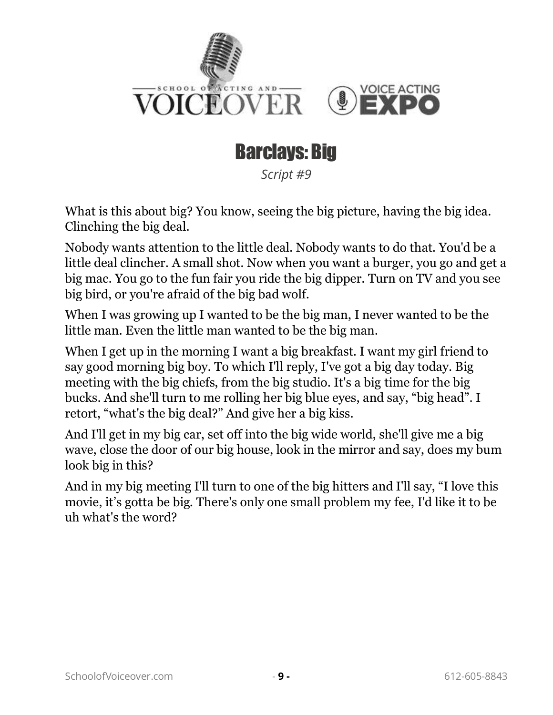

#### Barclays: Big

*Script #9*

<span id="page-11-0"></span>What is this about big? You know, seeing the big picture, having the big idea. Clinching the big deal.

Nobody wants attention to the little deal. Nobody wants to do that. You'd be a little deal clincher. A small shot. Now when you want a burger, you go and get a big mac. You go to the fun fair you ride the big dipper. Turn on TV and you see big bird, or you're afraid of the big bad wolf.

When I was growing up I wanted to be the big man, I never wanted to be the little man. Even the little man wanted to be the big man.

When I get up in the morning I want a big breakfast. I want my girl friend to say good morning big boy. To which I'll reply, I've got a big day today. Big meeting with the big chiefs, from the big studio. It's a big time for the big bucks. And she'll turn to me rolling her big blue eyes, and say, "big head". I retort, "what's the big deal?" And give her a big kiss.

And I'll get in my big car, set off into the big wide world, she'll give me a big wave, close the door of our big house, look in the mirror and say, does my bum look big in this?

And in my big meeting I'll turn to one of the big hitters and I'll say, "I love this movie, it's gotta be big. There's only one small problem my fee, I'd like it to be uh what's the word?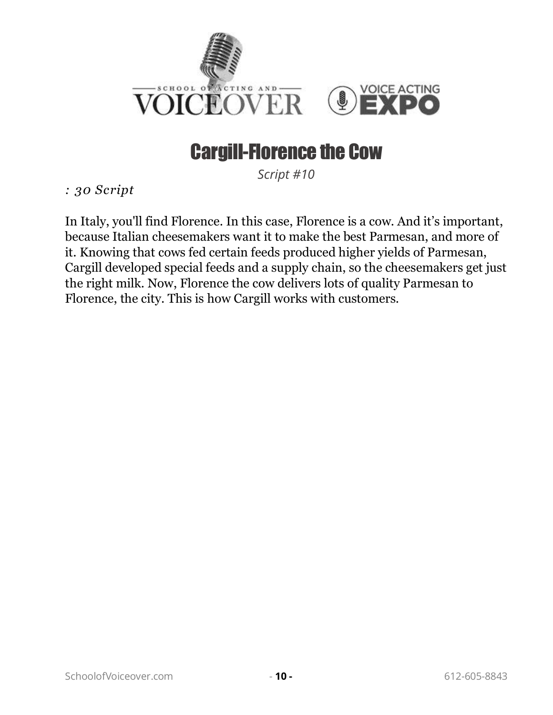

#### Cargill-Florence the Cow

*Script #10*

<span id="page-12-0"></span>*: 30 Script* 

In Italy, you'll find Florence. In this case, Florence is a cow. And it's important, because Italian cheesemakers want it to make the best Parmesan, and more of it. Knowing that cows fed certain feeds produced higher yields of Parmesan, Cargill developed special feeds and a supply chain, so the cheesemakers get just the right milk. Now, Florence the cow delivers lots of quality Parmesan to Florence, the city. This is how Cargill works with customers.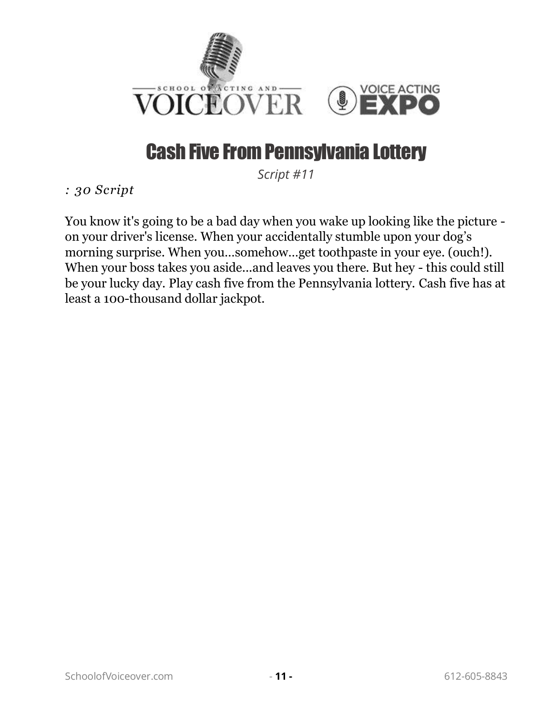

## Cash Five From Pennsylvania Lottery

*Script #11*

<span id="page-13-0"></span>*: 30 Script* 

You know it's going to be a bad day when you wake up looking like the picture on your driver's license. When your accidentally stumble upon your dog's morning surprise. When you…somehow…get toothpaste in your eye. (ouch!). When your boss takes you aside...and leaves you there. But hey - this could still be your lucky day. Play cash five from the Pennsylvania lottery. Cash five has at least a 100-thousand dollar jackpot.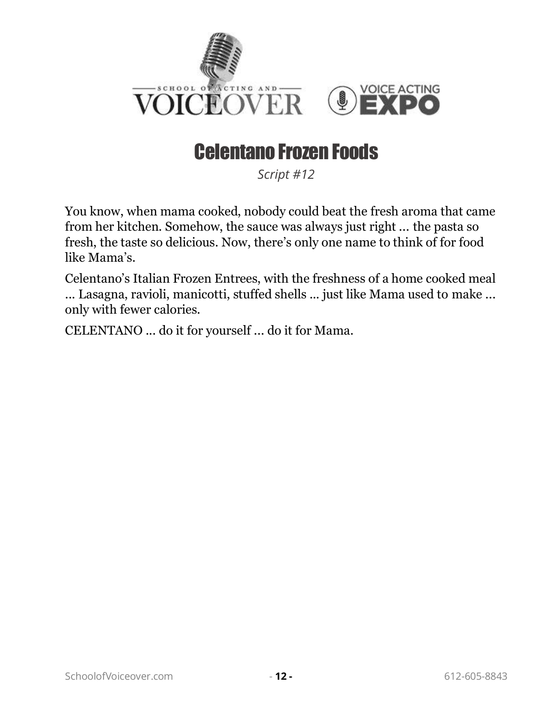

## Celentano Frozen Foods

*Script #12*

<span id="page-14-0"></span>You know, when mama cooked, nobody could beat the fresh aroma that came from her kitchen. Somehow, the sauce was always just right ... the pasta so fresh, the taste so delicious. Now, there's only one name to think of for food like Mama's.

Celentano's Italian Frozen Entrees, with the freshness of a home cooked meal ... Lasagna, ravioli, manicotti, stuffed shells ... just like Mama used to make ... only with fewer calories.

CELENTANO ... do it for yourself ... do it for Mama.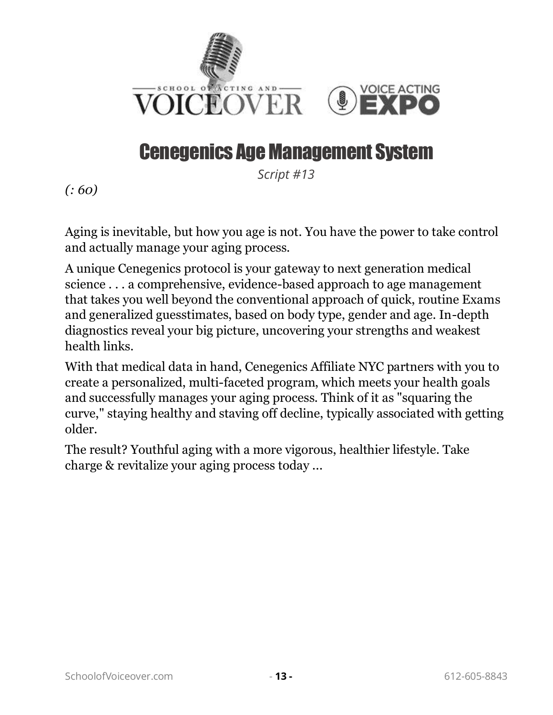

#### Cenegenics Age Management System

*Script #13*

<span id="page-15-0"></span>*(: 60)*

Aging is inevitable, but how you age is not. You have the power to take control and actually manage your aging process.

A unique Cenegenics protocol is your gateway to next generation medical science . . . a comprehensive, evidence-based approach to age management that takes you well beyond the conventional approach of quick, routine Exams and generalized guesstimates, based on body type, gender and age. In-depth diagnostics reveal your big picture, uncovering your strengths and weakest health links.

With that medical data in hand, Cenegenics Affiliate NYC partners with you to create a personalized, multi-faceted program, which meets your health goals and successfully manages your aging process. Think of it as "squaring the curve," staying healthy and staving off decline, typically associated with getting older.

The result? Youthful aging with a more vigorous, healthier lifestyle. Take charge & revitalize your aging process today ...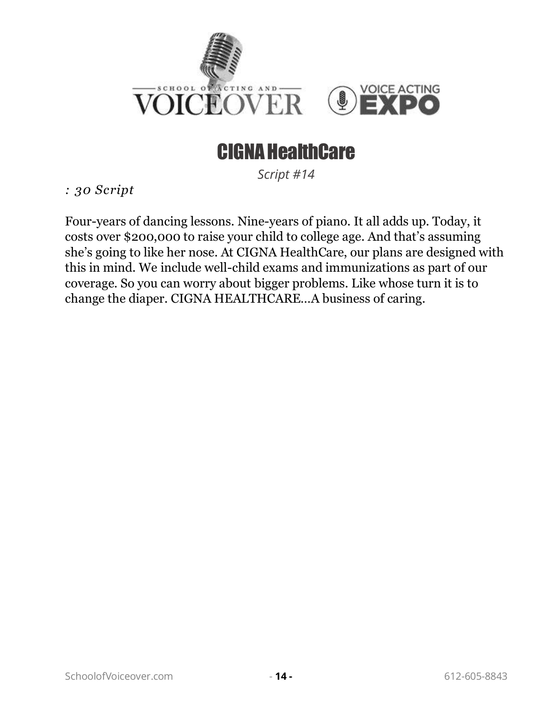

#### CIGNA HealthCare

*Script #14*

<span id="page-16-0"></span>*: 30 Script* 

Four-years of dancing lessons. Nine-years of piano. It all adds up. Today, it costs over \$200,000 to raise your child to college age. And that's assuming she's going to like her nose. At CIGNA HealthCare, our plans are designed with this in mind. We include well-child exams and immunizations as part of our coverage. So you can worry about bigger problems. Like whose turn it is to change the diaper. CIGNA HEALTHCARE…A business of caring.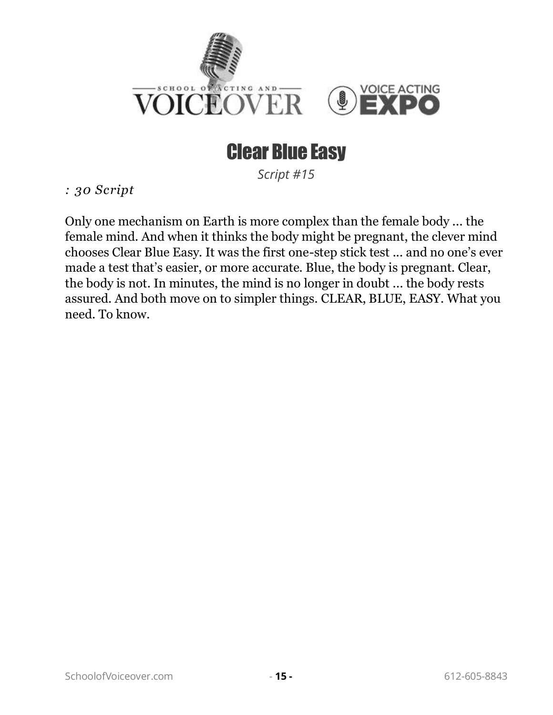

#### Clear Blue Easy

*Script #15*

<span id="page-17-0"></span>*: 30 Script* 

Only one mechanism on Earth is more complex than the female body ... the female mind. And when it thinks the body might be pregnant, the clever mind chooses Clear Blue Easy. It was the first one-step stick test ... and no one's ever made a test that's easier, or more accurate. Blue, the body is pregnant. Clear, the body is not. In minutes, the mind is no longer in doubt ... the body rests assured. And both move on to simpler things. CLEAR, BLUE, EASY. What you need. To know.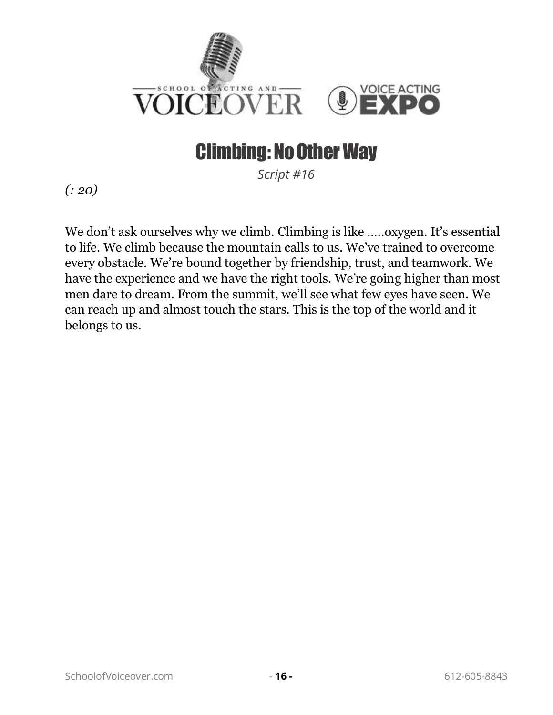

#### Climbing: No Other Way

*Script #16*

<span id="page-18-0"></span>*(: 20)*

We don't ask ourselves why we climb. Climbing is like .....oxygen. It's essential to life. We climb because the mountain calls to us. We've trained to overcome every obstacle. We're bound together by friendship, trust, and teamwork. We have the experience and we have the right tools. We're going higher than most men dare to dream. From the summit, we'll see what few eyes have seen. We can reach up and almost touch the stars. This is the top of the world and it belongs to us.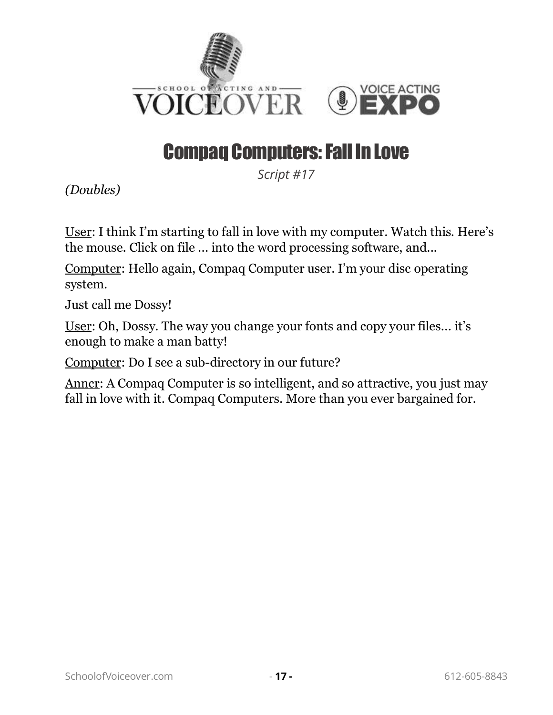

## Compaq Computers: Fall In Love

*Script #17*

<span id="page-19-0"></span>*(Doubles)*

User: I think I'm starting to fall in love with my computer. Watch this. Here's the mouse. Click on file ... into the word processing software, and...

Computer: Hello again, Compaq Computer user. I'm your disc operating system.

Just call me Dossy!

User: Oh, Dossy. The way you change your fonts and copy your files... it's enough to make a man batty!

Computer: Do I see a sub-directory in our future?

Anncr: A Compaq Computer is so intelligent, and so attractive, you just may fall in love with it. Compaq Computers. More than you ever bargained for.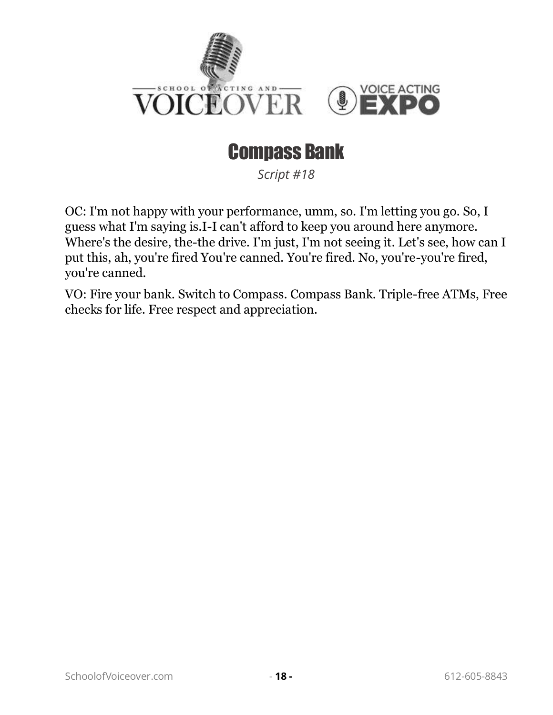

### Compass Bank

*Script #18*

<span id="page-20-0"></span>OC: I'm not happy with your performance, umm, so. I'm letting you go. So, I guess what I'm saying is.I-I can't afford to keep you around here anymore. Where's the desire, the-the drive. I'm just, I'm not seeing it. Let's see, how can I put this, ah, you're fired You're canned. You're fired. No, you're-you're fired, you're canned.

VO: Fire your bank. Switch to Compass. Compass Bank. Triple-free ATMs, Free checks for life. Free respect and appreciation.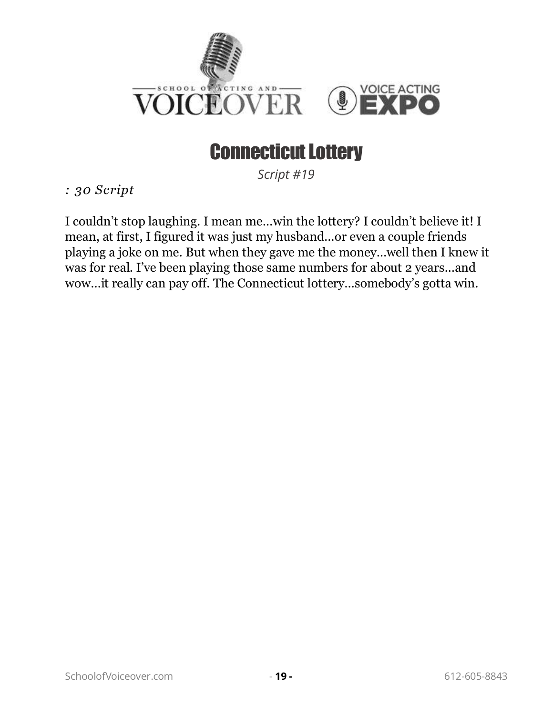

#### Connecticut Lottery

*Script #19*

<span id="page-21-0"></span>*: 30 Script* 

I couldn't stop laughing. I mean me…win the lottery? I couldn't believe it! I mean, at first, I figured it was just my husband…or even a couple friends playing a joke on me. But when they gave me the money…well then I knew it was for real. I've been playing those same numbers for about 2 years…and wow…it really can pay off. The Connecticut lottery…somebody's gotta win.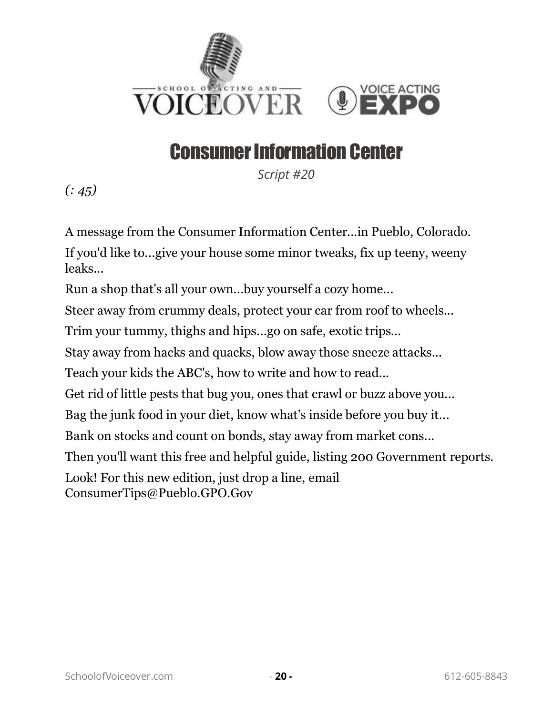

#### Consumer Information Center

*Script #20*

<span id="page-22-0"></span>*(: 45)*

A message from the Consumer Information Center...in Pueblo, Colorado. If you'd like to...give your house some minor tweaks, fix up teeny, weeny leaks...

Run a shop that's all your own...buy yourself a cozy home...

Steer away from crummy deals, protect your car from roof to wheels...

Trim your tummy, thighs and hips...go on safe, exotic trips...

Stay away from hacks and quacks, blow away those sneeze attacks...

Teach your kids the ABC's, how to write and how to read...

Get rid of little pests that bug you, ones that crawl or buzz above you...

Bag the junk food in your diet, know what's inside before you buy it...

Bank on stocks and count on bonds, stay away from market cons...

Then you'll want this free and helpful guide, listing 200 Government reports.

Look! For this new edition, just drop a line, email

ConsumerTips@Pueblo.GPO.Gov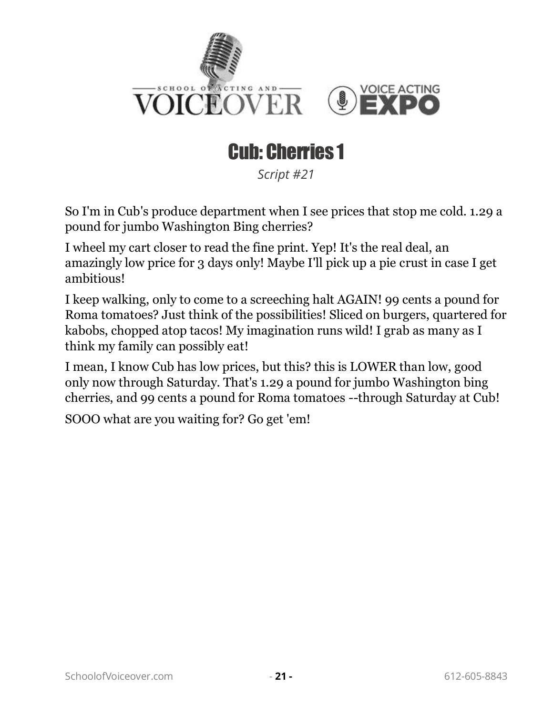

# Cub: Cherries 1

*Script #21*

<span id="page-23-0"></span>So I'm in Cub's produce department when I see prices that stop me cold. 1.29 a pound for jumbo Washington Bing cherries?

I wheel my cart closer to read the fine print. Yep! It's the real deal, an amazingly low price for 3 days only! Maybe I'll pick up a pie crust in case I get ambitious!

I keep walking, only to come to a screeching halt AGAIN! 99 cents a pound for Roma tomatoes? Just think of the possibilities! Sliced on burgers, quartered for kabobs, chopped atop tacos! My imagination runs wild! I grab as many as I think my family can possibly eat!

I mean, I know Cub has low prices, but this? this is LOWER than low, good only now through Saturday. That's 1.29 a pound for jumbo Washington bing cherries, and 99 cents a pound for Roma tomatoes --through Saturday at Cub!

SOOO what are you waiting for? Go get 'em!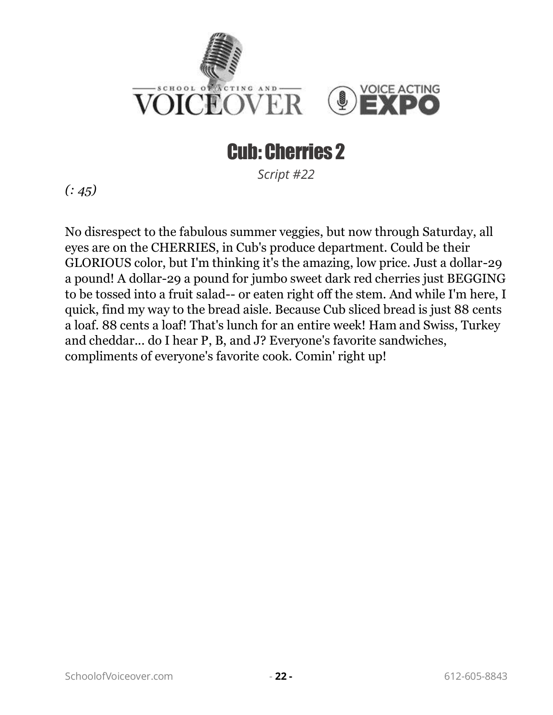

# Cub: Cherries 2

*Script #22*

<span id="page-24-0"></span>*(: 45)*

No disrespect to the fabulous summer veggies, but now through Saturday, all eyes are on the CHERRIES, in Cub's produce department. Could be their GLORIOUS color, but I'm thinking it's the amazing, low price. Just a dollar-29 a pound! A dollar-29 a pound for jumbo sweet dark red cherries just BEGGING to be tossed into a fruit salad-- or eaten right off the stem. And while I'm here, I quick, find my way to the bread aisle. Because Cub sliced bread is just 88 cents a loaf. 88 cents a loaf! That's lunch for an entire week! Ham and Swiss, Turkey and cheddar... do I hear P, B, and J? Everyone's favorite sandwiches, compliments of everyone's favorite cook. Comin' right up!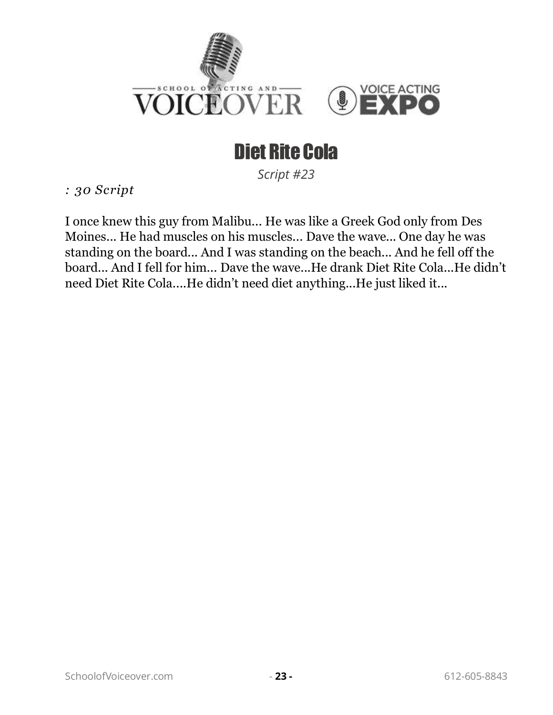

# Diet Rite Cola

*Script #23*

<span id="page-25-0"></span>*: 30 Script* 

I once knew this guy from Malibu... He was like a Greek God only from Des Moines... He had muscles on his muscles... Dave the wave... One day he was standing on the board... And I was standing on the beach... And he fell off the board... And I fell for him... Dave the wave...He drank Diet Rite Cola...He didn't need Diet Rite Cola....He didn't need diet anything...He just liked it...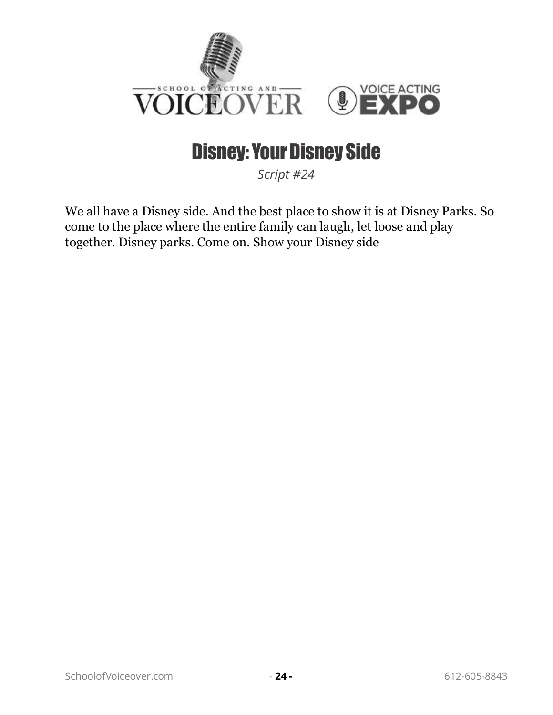

#### Disney: Your Disney Side

*Script #24*

<span id="page-26-0"></span>We all have a Disney side. And the best place to show it is at Disney Parks. So come to the place where the entire family can laugh, let loose and play together. Disney parks. Come on. Show your Disney side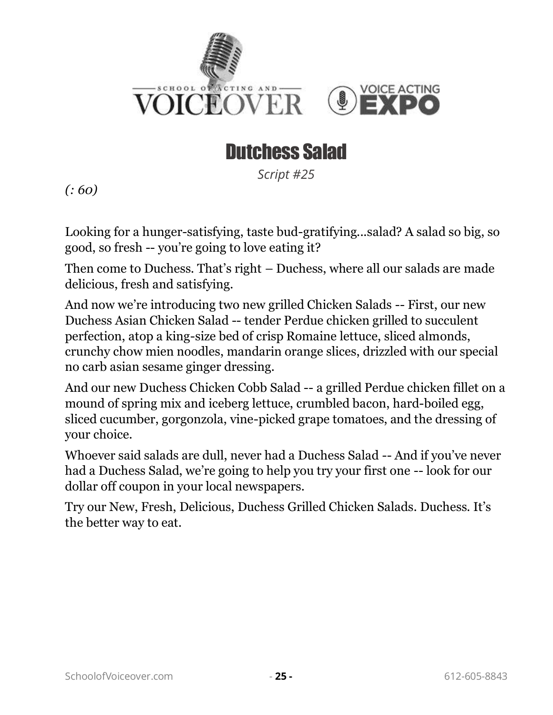

#### Dutchess Salad

*Script #25*

<span id="page-27-0"></span>*(: 60)*

Looking for a hunger-satisfying, taste bud-gratifying...salad? A salad so big, so good, so fresh -- you're going to love eating it?

Then come to Duchess. That's right – Duchess, where all our salads are made delicious, fresh and satisfying.

And now we're introducing two new grilled Chicken Salads -- First, our new Duchess Asian Chicken Salad -- tender Perdue chicken grilled to succulent perfection, atop a king-size bed of crisp Romaine lettuce, sliced almonds, crunchy chow mien noodles, mandarin orange slices, drizzled with our special no carb asian sesame ginger dressing.

And our new Duchess Chicken Cobb Salad -- a grilled Perdue chicken fillet on a mound of spring mix and iceberg lettuce, crumbled bacon, hard-boiled egg, sliced cucumber, gorgonzola, vine-picked grape tomatoes, and the dressing of your choice.

Whoever said salads are dull, never had a Duchess Salad -- And if you've never had a Duchess Salad, we're going to help you try your first one -- look for our dollar off coupon in your local newspapers.

Try our New, Fresh, Delicious, Duchess Grilled Chicken Salads. Duchess. It's the better way to eat.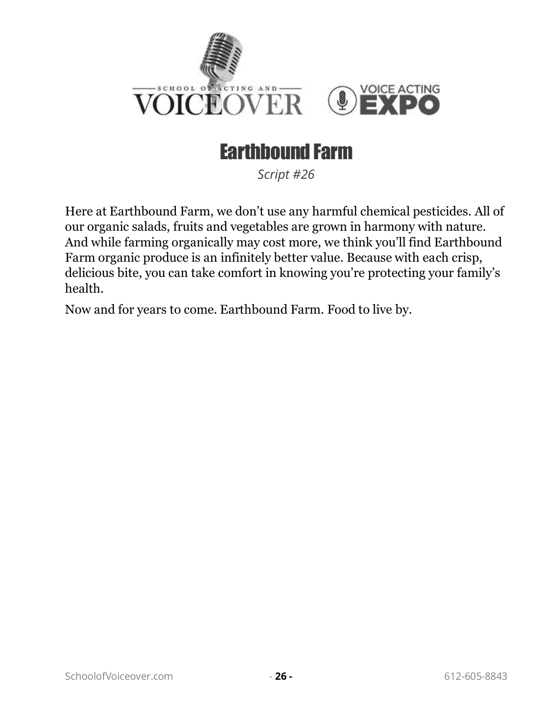

### Earthbound Farm

*Script #26*

<span id="page-28-0"></span>Here at Earthbound Farm, we don't use any harmful chemical pesticides. All of our organic salads, fruits and vegetables are grown in harmony with nature. And while farming organically may cost more, we think you'll find Earthbound Farm organic produce is an infinitely better value. Because with each crisp, delicious bite, you can take comfort in knowing you're protecting your family's health.

Now and for years to come. Earthbound Farm. Food to live by.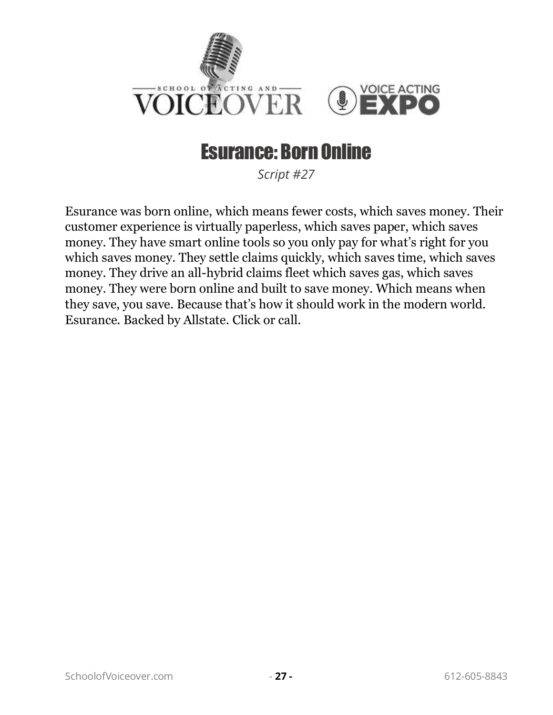

#### Esurance: Born Online

*Script #27*

<span id="page-29-0"></span>Esurance was born online, which means fewer costs, which saves money. Their customer experience is virtually paperless, which saves paper, which saves money. They have smart online tools so you only pay for what's right for you which saves money. They settle claims quickly, which saves time, which saves money. They drive an all-hybrid claims fleet which saves gas, which saves money. They were born online and built to save money. Which means when they save, you save. Because that's how it should work in the modern world. Esurance. Backed by Allstate. Click or call.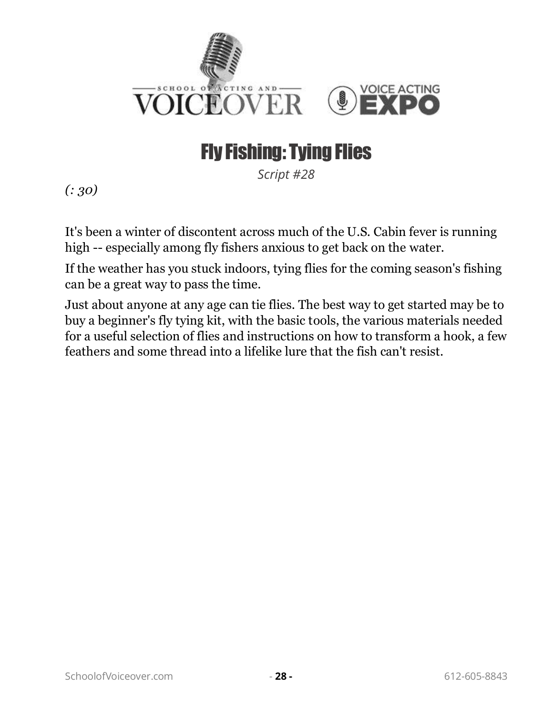

## Fly Fishing: Tying Flies

*Script #28*

<span id="page-30-0"></span>*(: 30)*

It's been a winter of discontent across much of the U.S. Cabin fever is running high -- especially among fly fishers anxious to get back on the water.

If the weather has you stuck indoors, tying flies for the coming season's fishing can be a great way to pass the time.

Just about anyone at any age can tie flies. The best way to get started may be to buy a beginner's fly tying kit, with the basic tools, the various materials needed for a useful selection of flies and instructions on how to transform a hook, a few feathers and some thread into a lifelike lure that the fish can't resist.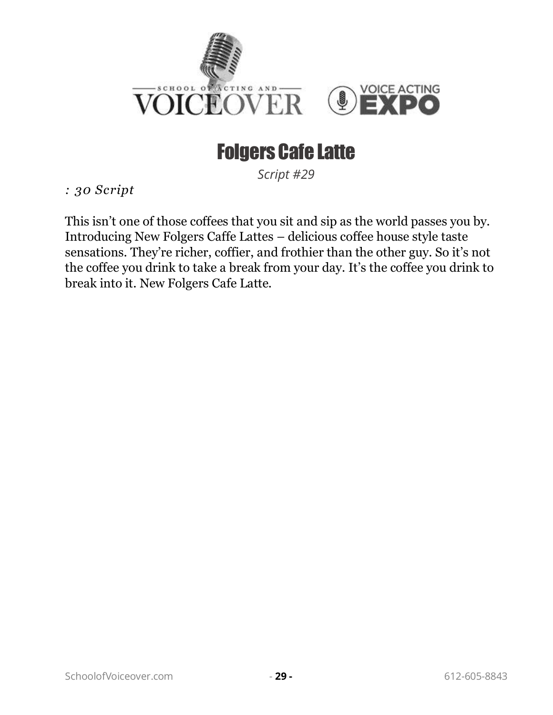

## Folgers Cafe Latte

*Script #29*

<span id="page-31-0"></span>*: 30 Script* 

This isn't one of those coffees that you sit and sip as the world passes you by. Introducing New Folgers Caffe Lattes – delicious coffee house style taste sensations. They're richer, coffier, and frothier than the other guy. So it's not the coffee you drink to take a break from your day. It's the coffee you drink to break into it. New Folgers Cafe Latte.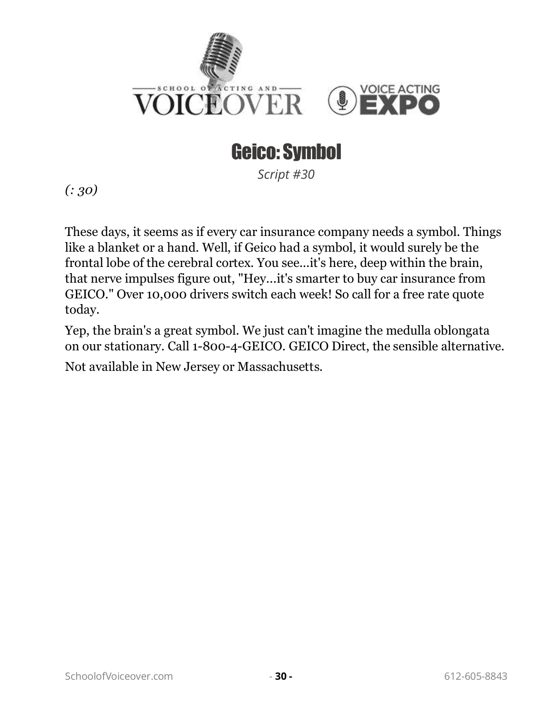

## Geico: Symbol

*Script #30*

<span id="page-32-0"></span>*(: 30)*

These days, it seems as if every car insurance company needs a symbol. Things like a blanket or a hand. Well, if Geico had a symbol, it would surely be the frontal lobe of the cerebral cortex. You see...it's here, deep within the brain, that nerve impulses figure out, "Hey...it's smarter to buy car insurance from GEICO." Over 10,000 drivers switch each week! So call for a free rate quote today.

Yep, the brain's a great symbol. We just can't imagine the medulla oblongata on our stationary. Call 1-800-4-GEICO. GEICO Direct, the sensible alternative. Not available in New Jersey or Massachusetts.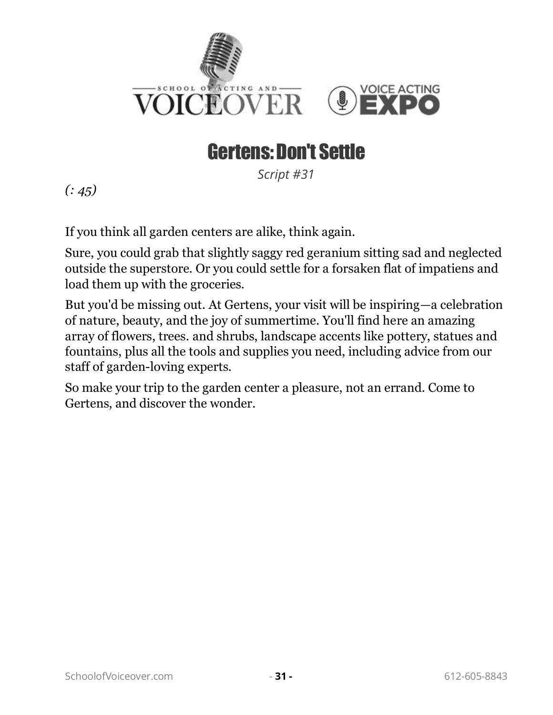

#### Gertens: Don't Settle

*Script #31*

<span id="page-33-0"></span>*(: 45)*

If you think all garden centers are alike, think again.

Sure, you could grab that slightly saggy red geranium sitting sad and neglected outside the superstore. Or you could settle for a forsaken flat of impatiens and load them up with the groceries.

But you'd be missing out. At Gertens, your visit will be inspiring—a celebration of nature, beauty, and the joy of summertime. You'll find here an amazing array of flowers, trees. and shrubs, landscape accents like pottery, statues and fountains, plus all the tools and supplies you need, including advice from our staff of garden-loving experts.

So make your trip to the garden center a pleasure, not an errand. Come to Gertens, and discover the wonder.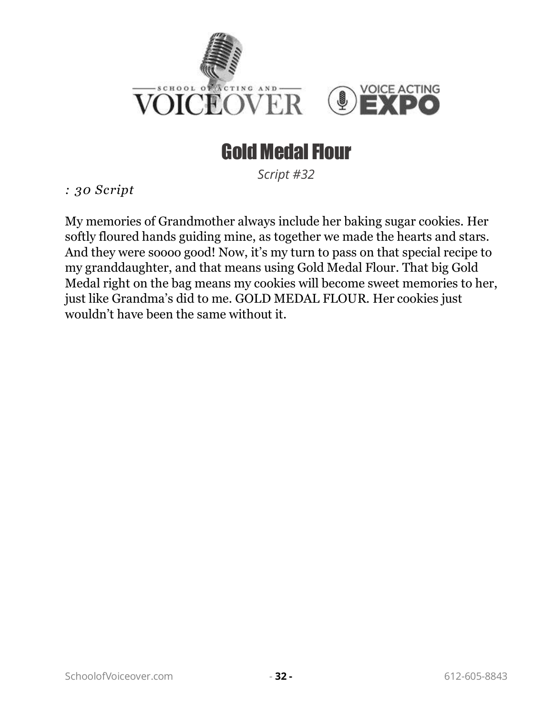

#### Gold Medal Flour

*Script #32*

<span id="page-34-0"></span>*: 30 Script* 

My memories of Grandmother always include her baking sugar cookies. Her softly floured hands guiding mine, as together we made the hearts and stars. And they were soooo good! Now, it's my turn to pass on that special recipe to my granddaughter, and that means using Gold Medal Flour. That big Gold Medal right on the bag means my cookies will become sweet memories to her, just like Grandma's did to me. GOLD MEDAL FLOUR. Her cookies just wouldn't have been the same without it.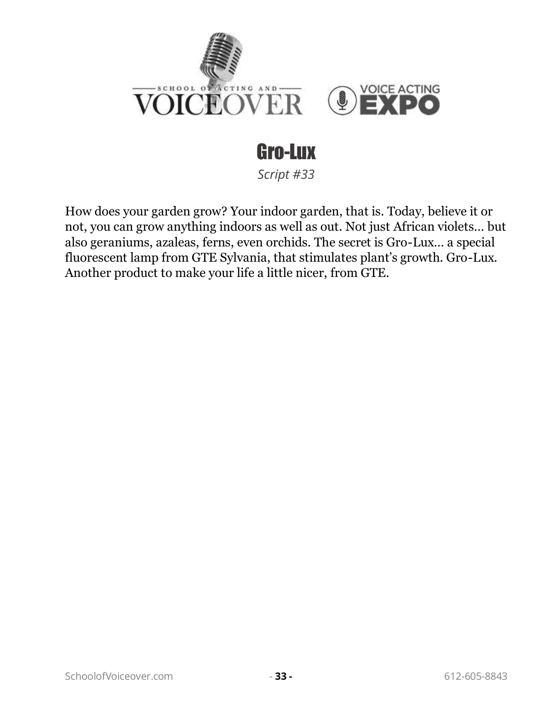

# Gro-Lux

*Script #33*

<span id="page-35-0"></span>How does your garden grow? Your indoor garden, that is. Today, believe it or not, you can grow anything indoors as well as out. Not just African violets… but also geraniums, azaleas, ferns, even orchids. The secret is Gro-Lux… a special fluorescent lamp from GTE Sylvania, that stimulates plant's growth. Gro-Lux. Another product to make your life a little nicer, from GTE.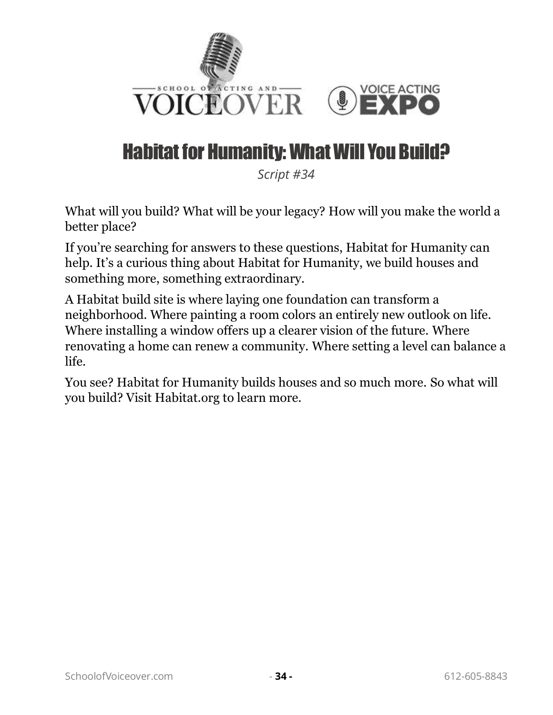

#### Habitat for Humanity: What Will You Build?

*Script #34*

What will you build? What will be your legacy? How will you make the world a better place?

If you're searching for answers to these questions, Habitat for Humanity can help. It's a curious thing about Habitat for Humanity, we build houses and something more, something extraordinary.

A Habitat build site is where laying one foundation can transform a neighborhood. Where painting a room colors an entirely new outlook on life. Where installing a window offers up a clearer vision of the future. Where renovating a home can renew a community. Where setting a level can balance a life.

You see? Habitat for Humanity builds houses and so much more. So what will you build? Visit Habitat.org to learn more.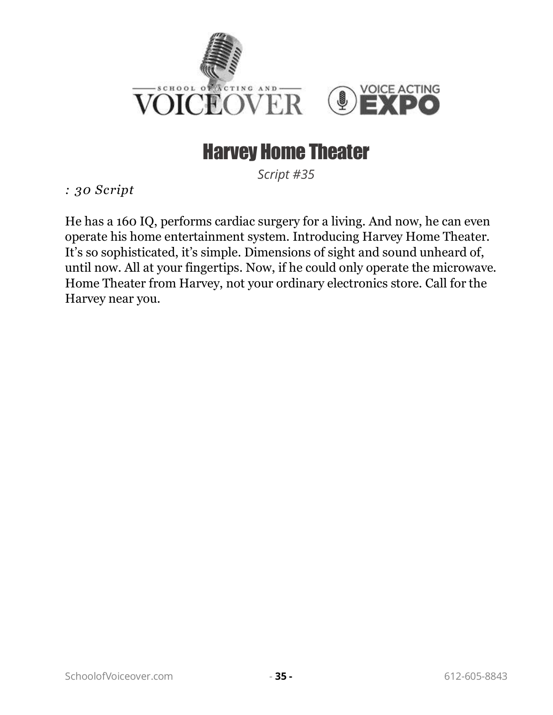

#### Harvey Home Theater

*Script #35*

*: 30 Script* 

He has a 160 IQ, performs cardiac surgery for a living. And now, he can even operate his home entertainment system. Introducing Harvey Home Theater. It's so sophisticated, it's simple. Dimensions of sight and sound unheard of, until now. All at your fingertips. Now, if he could only operate the microwave. Home Theater from Harvey, not your ordinary electronics store. Call for the Harvey near you.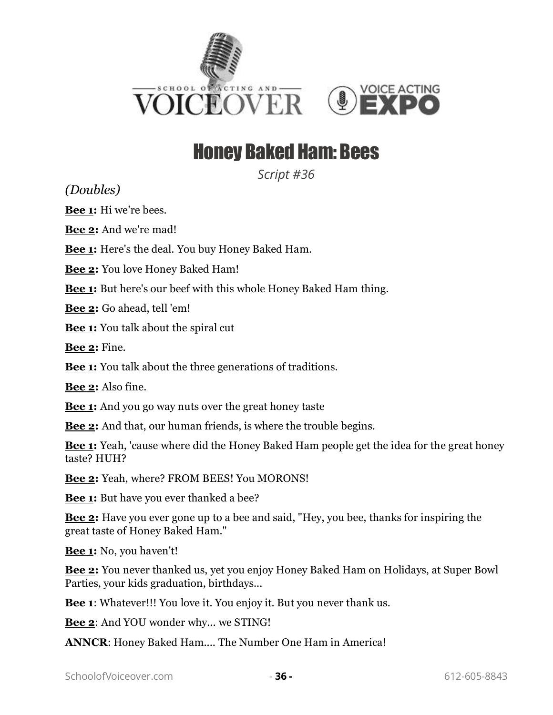



#### Honey Baked Ham: Bees

*Script #36*

*(Doubles)*

**Bee 1:** Hi we're bees.

**Bee 2:** And we're mad!

**Bee 1:** Here's the deal. You buy Honey Baked Ham.

**Bee 2:** You love Honey Baked Ham!

**Bee 1:** But here's our beef with this whole Honey Baked Ham thing.

**Bee 2:** Go ahead, tell 'em!

**Bee 1:** You talk about the spiral cut

**Bee 2:** Fine.

**Bee 1:** You talk about the three generations of traditions.

**Bee 2:** Also fine.

**Bee 1:** And you go way nuts over the great honey taste

**Bee 2:** And that, our human friends, is where the trouble begins.

**Bee 1:** Yeah, 'cause where did the Honey Baked Ham people get the idea for the great honey taste? HUH?

**Bee 2:** Yeah, where? FROM BEES! You MORONS!

**Bee 1:** But have you ever thanked a bee?

**Bee 2:** Have you ever gone up to a bee and said, "Hey, you bee, thanks for inspiring the great taste of Honey Baked Ham."

**Bee 1:** No, you haven't!

**Bee 2:** You never thanked us, yet you enjoy Honey Baked Ham on Holidays, at Super Bowl Parties, your kids graduation, birthdays...

**Bee 1**: Whatever!!! You love it. You enjoy it. But you never thank us.

**Bee 2**: And YOU wonder why... we STING!

**ANNCR**: Honey Baked Ham.... The Number One Ham in America!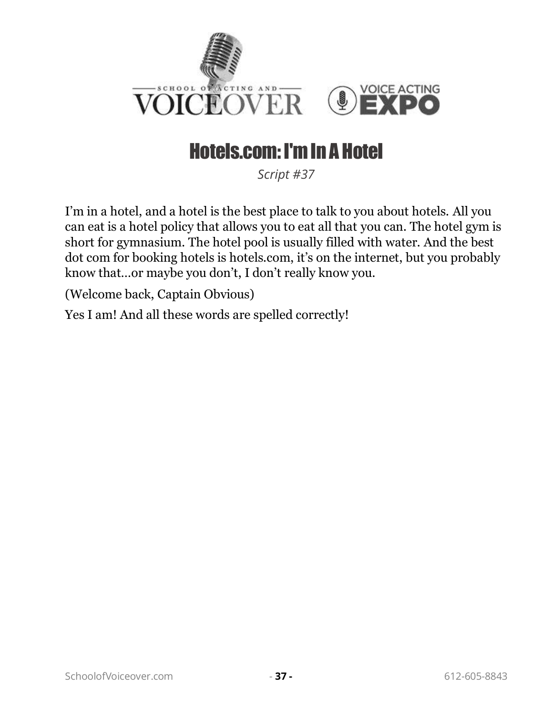

# Hotels.com: I'm In A Hotel

*Script #37*

I'm in a hotel, and a hotel is the best place to talk to you about hotels. All you can eat is a hotel policy that allows you to eat all that you can. The hotel gym is short for gymnasium. The hotel pool is usually filled with water. And the best dot com for booking hotels is hotels.com, it's on the internet, but you probably know that…or maybe you don't, I don't really know you.

(Welcome back, Captain Obvious)

Yes I am! And all these words are spelled correctly!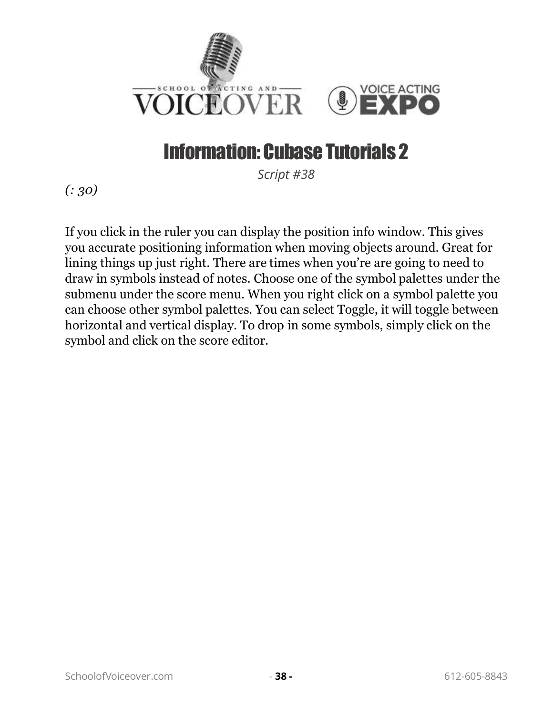

# Information: Cubase Tutorials 2

*Script #38*

*(: 30)*

If you click in the ruler you can display the position info window. This gives you accurate positioning information when moving objects around. Great for lining things up just right. There are times when you're are going to need to draw in symbols instead of notes. Choose one of the symbol palettes under the submenu under the score menu. When you right click on a symbol palette you can choose other symbol palettes. You can select Toggle, it will toggle between horizontal and vertical display. To drop in some symbols, simply click on the symbol and click on the score editor.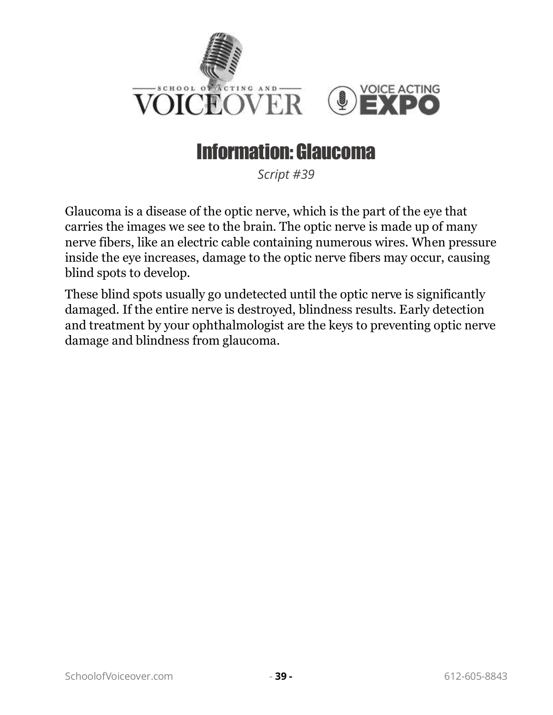

#### Information: Glaucoma

*Script #39*

Glaucoma is a disease of the optic nerve, which is the part of the eye that carries the images we see to the brain. The optic nerve is made up of many nerve fibers, like an electric cable containing numerous wires. When pressure inside the eye increases, damage to the optic nerve fibers may occur, causing blind spots to develop.

These blind spots usually go undetected until the optic nerve is significantly damaged. If the entire nerve is destroyed, blindness results. Early detection and treatment by your ophthalmologist are the keys to preventing optic nerve damage and blindness from glaucoma.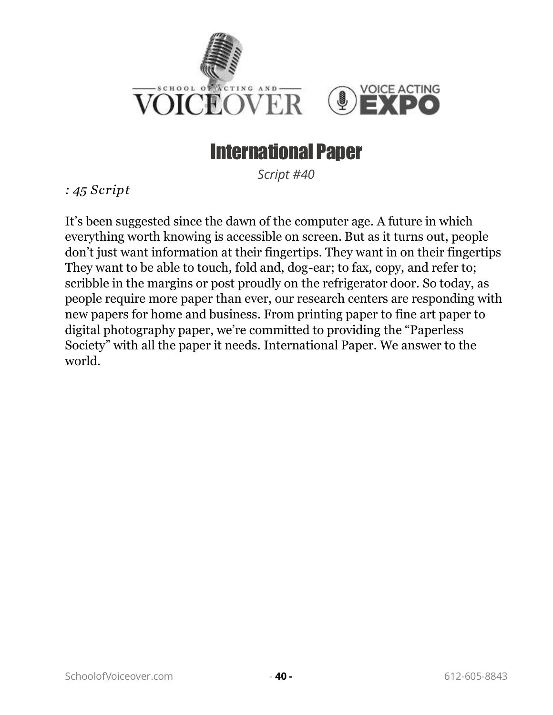

#### International Paper

*Script #40*

*: 45 Script* 

It's been suggested since the dawn of the computer age. A future in which everything worth knowing is accessible on screen. But as it turns out, people don't just want information at their fingertips. They want in on their fingertips They want to be able to touch, fold and, dog-ear; to fax, copy, and refer to; scribble in the margins or post proudly on the refrigerator door. So today, as people require more paper than ever, our research centers are responding with new papers for home and business. From printing paper to fine art paper to digital photography paper, we're committed to providing the "Paperless Society" with all the paper it needs. International Paper. We answer to the world.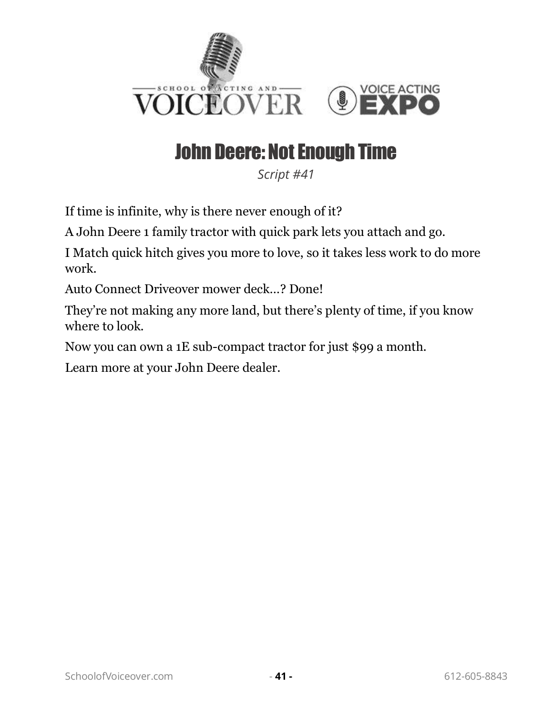

# John Deere: Not Enough Time

*Script #41*

If time is infinite, why is there never enough of it?

A John Deere 1 family tractor with quick park lets you attach and go.

I Match quick hitch gives you more to love, so it takes less work to do more work.

Auto Connect Driveover mower deck…? Done!

They're not making any more land, but there's plenty of time, if you know where to look.

Now you can own a 1E sub-compact tractor for just \$99 a month.

Learn more at your John Deere dealer.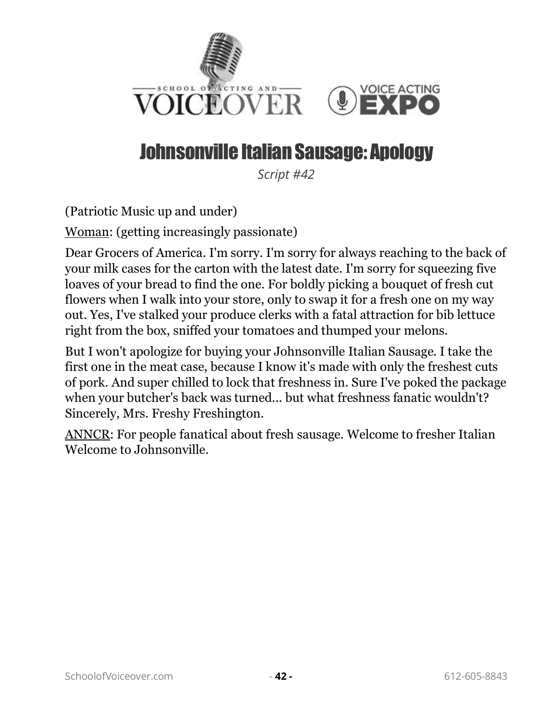

# Johnsonville Italian Sausage: Apology

*Script #42*

(Patriotic Music up and under)

Woman: (getting increasingly passionate)

Dear Grocers of America. I'm sorry. I'm sorry for always reaching to the back of your milk cases for the carton with the latest date. I'm sorry for squeezing five loaves of your bread to find the one. For boldly picking a bouquet of fresh cut flowers when I walk into your store, only to swap it for a fresh one on my way out. Yes, I've stalked your produce clerks with a fatal attraction for bib lettuce right from the box, sniffed your tomatoes and thumped your melons.

But I won't apologize for buying your Johnsonville Italian Sausage. I take the first one in the meat case, because I know it's made with only the freshest cuts of pork. And super chilled to lock that freshness in. Sure I've poked the package when your butcher's back was turned... but what freshness fanatic wouldn't? Sincerely, Mrs. Freshy Freshington.

ANNCR: For people fanatical about fresh sausage. Welcome to fresher Italian Welcome to Johnsonville.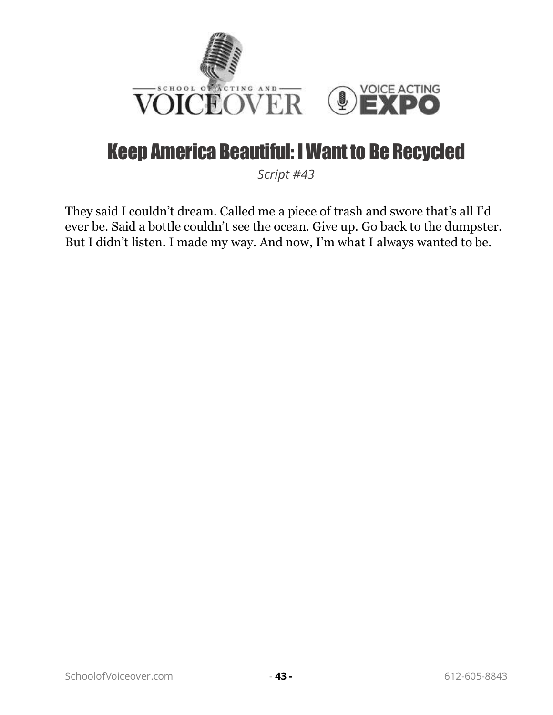

#### Keep America Beautiful: I Want to Be Recycled

*Script #43*

They said I couldn't dream. Called me a piece of trash and swore that's all I'd ever be. Said a bottle couldn't see the ocean. Give up. Go back to the dumpster. But I didn't listen. I made my way. And now, I'm what I always wanted to be.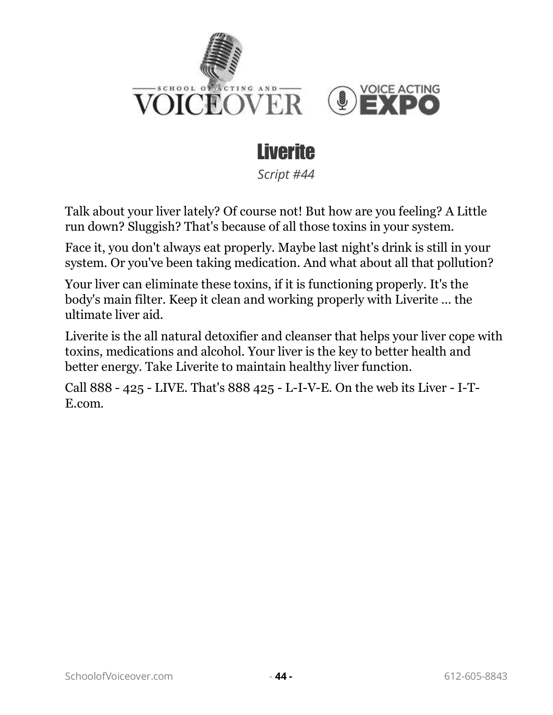



*Script #44*

Talk about your liver lately? Of course not! But how are you feeling? A Little run down? Sluggish? That's because of all those toxins in your system.

Face it, you don't always eat properly. Maybe last night's drink is still in your system. Or you've been taking medication. And what about all that pollution?

Your liver can eliminate these toxins, if it is functioning properly. It's the body's main filter. Keep it clean and working properly with Liverite … the ultimate liver aid.

Liverite is the all natural detoxifier and cleanser that helps your liver cope with toxins, medications and alcohol. Your liver is the key to better health and better energy. Take Liverite to maintain healthy liver function.

Call 888 - 425 - LIVE. That's 888 425 - L-I-V-E. On the web its Liver - I-T-E.com.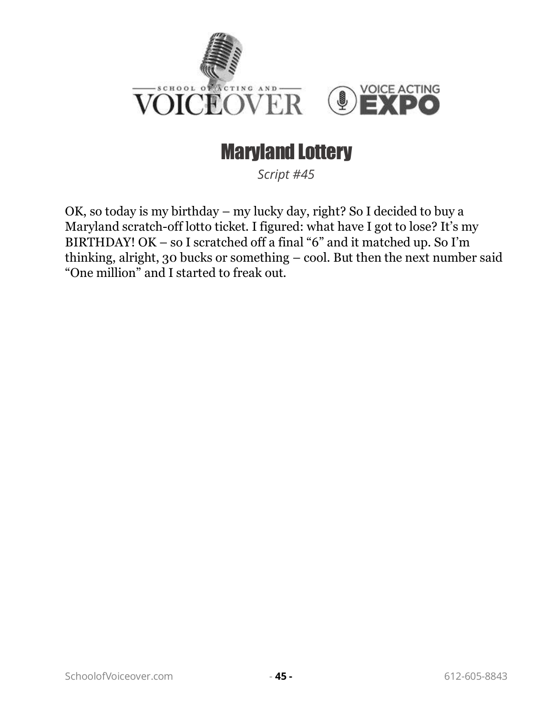

#### Maryland Lottery

*Script #45*

OK, so today is my birthday – my lucky day, right? So I decided to buy a Maryland scratch-off lotto ticket. I figured: what have I got to lose? It's my BIRTHDAY! OK – so I scratched off a final "6" and it matched up. So I'm thinking, alright, 30 bucks or something – cool. But then the next number said "One million" and I started to freak out.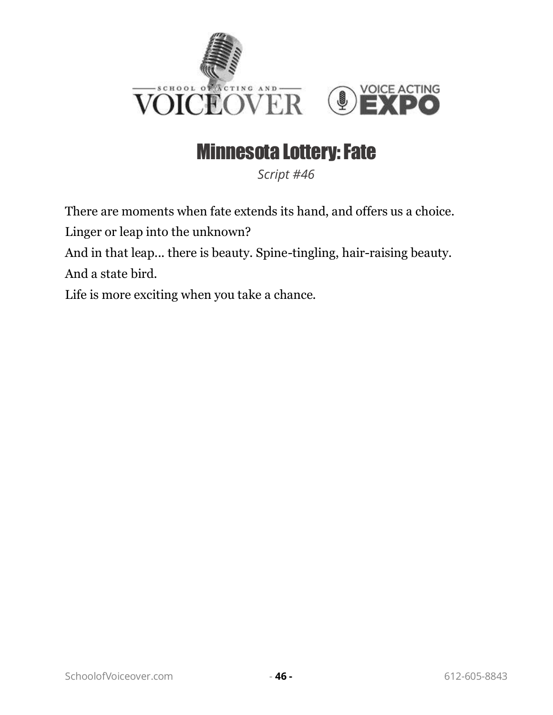

#### Minnesota Lottery: Fate

*Script #46*

There are moments when fate extends its hand, and offers us a choice.

Linger or leap into the unknown?

And in that leap... there is beauty. Spine-tingling, hair-raising beauty. And a state bird.

Life is more exciting when you take a chance.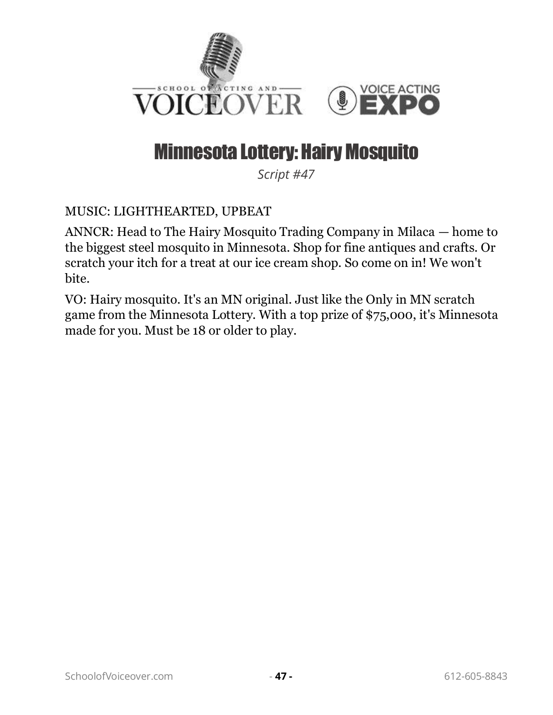

#### Minnesota Lottery: Hairy Mosquito

*Script #47*

#### MUSIC: LIGHTHEARTED, UPBEAT

ANNCR: Head to The Hairy Mosquito Trading Company in Milaca — home to the biggest steel mosquito in Minnesota. Shop for fine antiques and crafts. Or scratch your itch for a treat at our ice cream shop. So come on in! We won't bite.

VO: Hairy mosquito. It's an MN original. Just like the Only in MN scratch game from the Minnesota Lottery. With a top prize of \$75,000, it's Minnesota made for you. Must be 18 or older to play.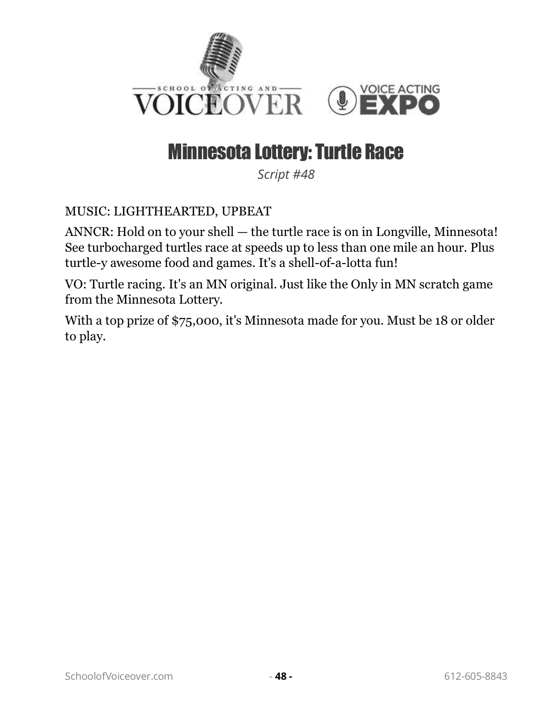

#### Minnesota Lottery: Turtle Race

*Script #48*

#### MUSIC: LIGHTHEARTED, UPBEAT

ANNCR: Hold on to your shell — the turtle race is on in Longville, Minnesota! See turbocharged turtles race at speeds up to less than one mile an hour. Plus turtle-y awesome food and games. It's a shell-of-a-lotta fun!

VO: Turtle racing. It's an MN original. Just like the Only in MN scratch game from the Minnesota Lottery.

With a top prize of \$75,000, it's Minnesota made for you. Must be 18 or older to play.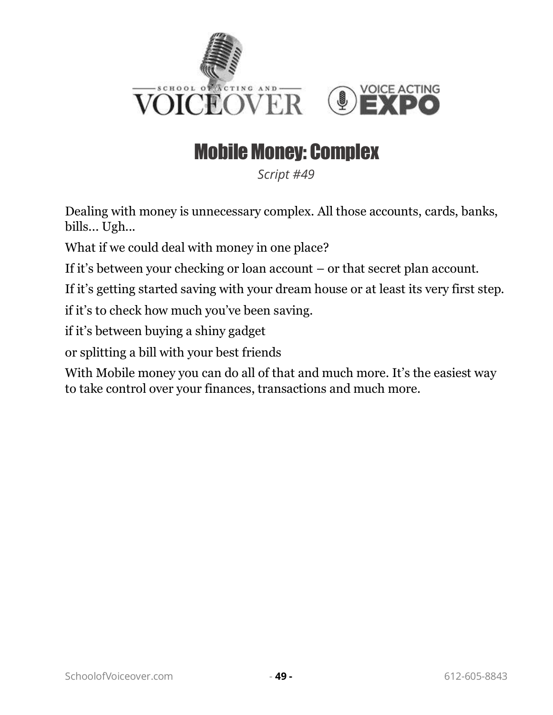

# Mobile Money: Complex

*Script #49*

Dealing with money is unnecessary complex. All those accounts, cards, banks, bills... Ugh...

What if we could deal with money in one place?

If it's between your checking or loan account – or that secret plan account.

If it's getting started saving with your dream house or at least its very first step.

if it's to check how much you've been saving.

if it's between buying a shiny gadget

or splitting a bill with your best friends

With Mobile money you can do all of that and much more. It's the easiest way to take control over your finances, transactions and much more.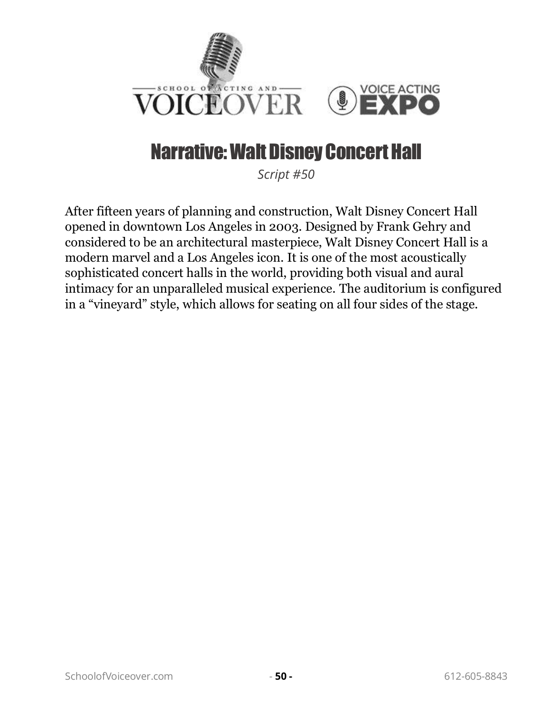

### Narrative: Walt Disney Concert Hall

*Script #50*

After fifteen years of planning and construction, Walt Disney Concert Hall opened in downtown Los Angeles in 2003. Designed by Frank Gehry and considered to be an architectural masterpiece, Walt Disney Concert Hall is a modern marvel and a Los Angeles icon. It is one of the most acoustically sophisticated concert halls in the world, providing both visual and aural intimacy for an unparalleled musical experience. The auditorium is configured in a "vineyard" style, which allows for seating on all four sides of the stage.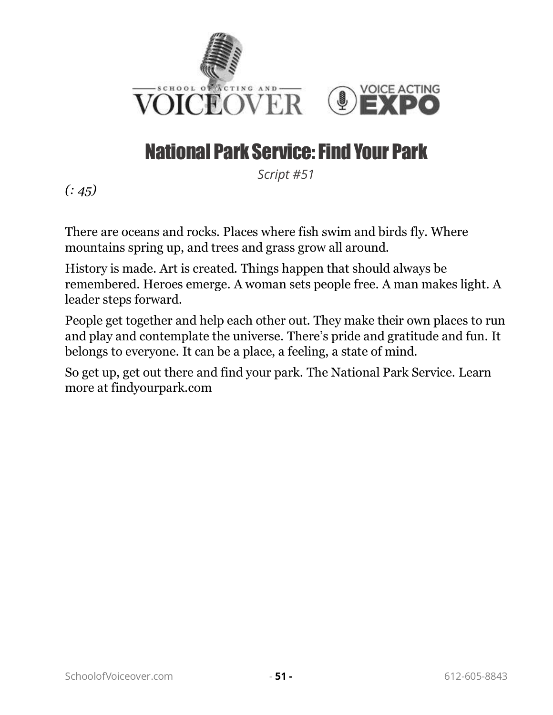

# National Park Service: Find Your Park

*Script #51*

*(: 45)*

There are oceans and rocks. Places where fish swim and birds fly. Where mountains spring up, and trees and grass grow all around.

History is made. Art is created. Things happen that should always be remembered. Heroes emerge. A woman sets people free. A man makes light. A leader steps forward.

People get together and help each other out. They make their own places to run and play and contemplate the universe. There's pride and gratitude and fun. It belongs to everyone. It can be a place, a feeling, a state of mind.

So get up, get out there and find your park. The National Park Service. Learn more at findyourpark.com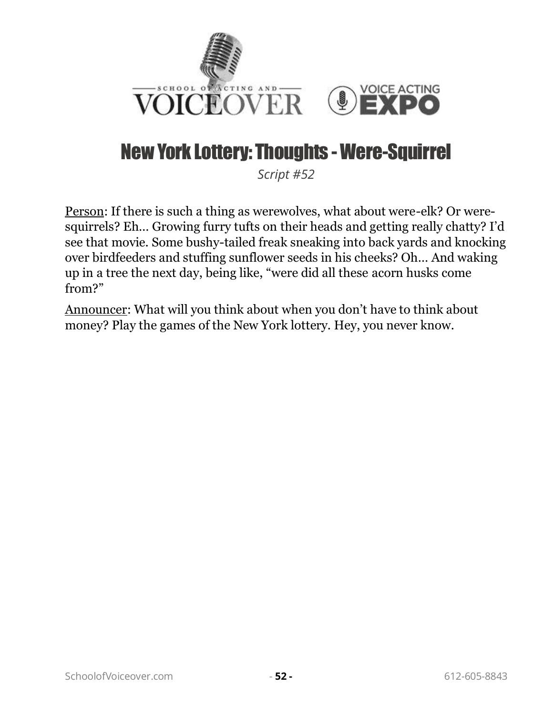

### New York Lottery: Thoughts - Were-Squirrel

*Script #52*

Person: If there is such a thing as werewolves, what about were-elk? Or weresquirrels? Eh… Growing furry tufts on their heads and getting really chatty? I'd see that movie. Some bushy-tailed freak sneaking into back yards and knocking over birdfeeders and stuffing sunflower seeds in his cheeks? Oh… And waking up in a tree the next day, being like, "were did all these acorn husks come from?"

Announcer: What will you think about when you don't have to think about money? Play the games of the New York lottery. Hey, you never know.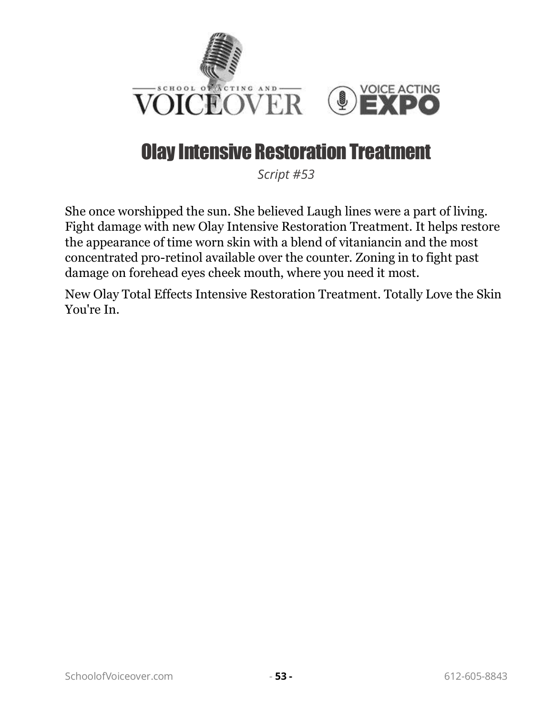

#### Olay Intensive Restoration Treatment

*Script #53*

She once worshipped the sun. She believed Laugh lines were a part of living. Fight damage with new Olay Intensive Restoration Treatment. It helps restore the appearance of time worn skin with a blend of vitaniancin and the most concentrated pro-retinol available over the counter. Zoning in to fight past damage on forehead eyes cheek mouth, where you need it most.

New Olay Total Effects Intensive Restoration Treatment. Totally Love the Skin You're In.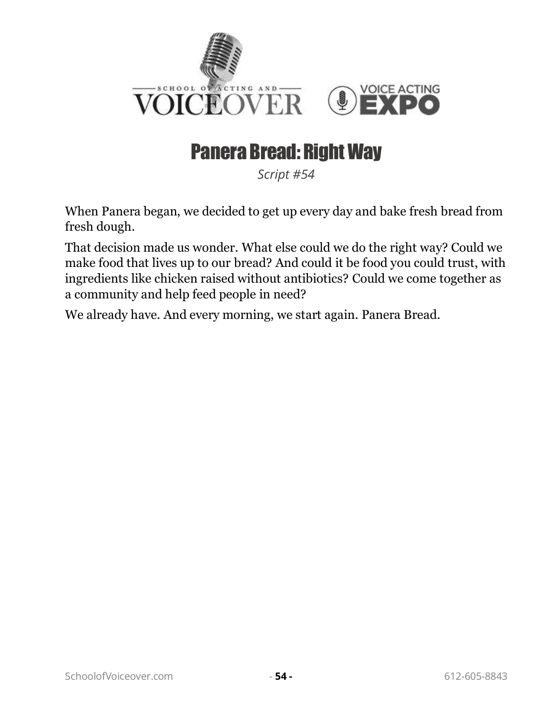

#### Panera Bread: Right Way

*Script #54*

When Panera began, we decided to get up every day and bake fresh bread from fresh dough.

That decision made us wonder. What else could we do the right way? Could we make food that lives up to our bread? And could it be food you could trust, with ingredients like chicken raised without antibiotics? Could we come together as a community and help feed people in need?

We already have. And every morning, we start again. Panera Bread.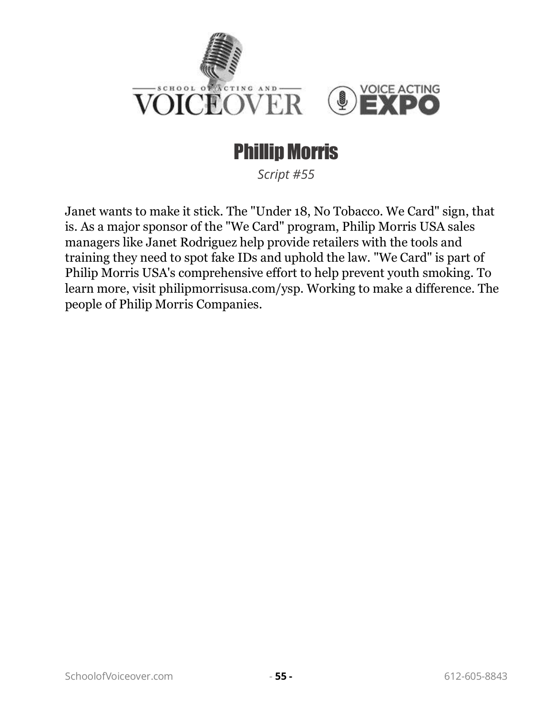

# Phillip Morris

*Script #55*

Janet wants to make it stick. The "Under 18, No Tobacco. We Card" sign, that is. As a major sponsor of the "We Card" program, Philip Morris USA sales managers like Janet Rodriguez help provide retailers with the tools and training they need to spot fake IDs and uphold the law. "We Card" is part of Philip Morris USA's comprehensive effort to help prevent youth smoking. To learn more, visit philipmorrisusa.com/ysp. Working to make a difference. The people of Philip Morris Companies.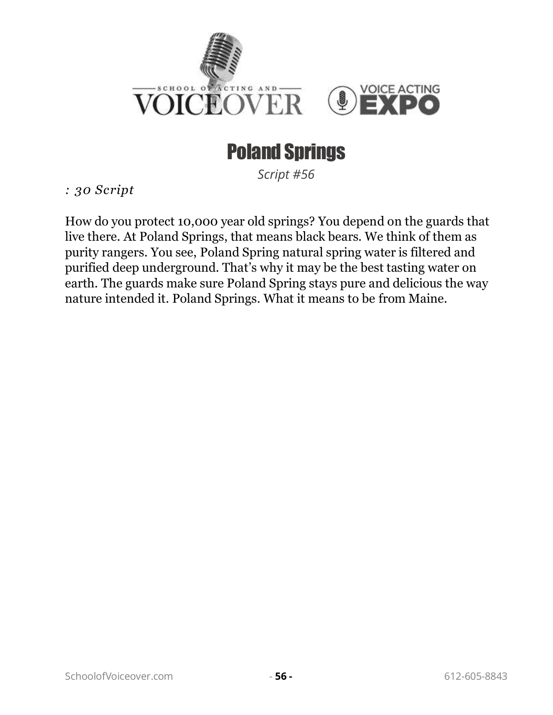

# Poland Springs

*Script #56*

*: 30 Script* 

How do you protect 10,000 year old springs? You depend on the guards that live there. At Poland Springs, that means black bears. We think of them as purity rangers. You see, Poland Spring natural spring water is filtered and purified deep underground. That's why it may be the best tasting water on earth. The guards make sure Poland Spring stays pure and delicious the way nature intended it. Poland Springs. What it means to be from Maine.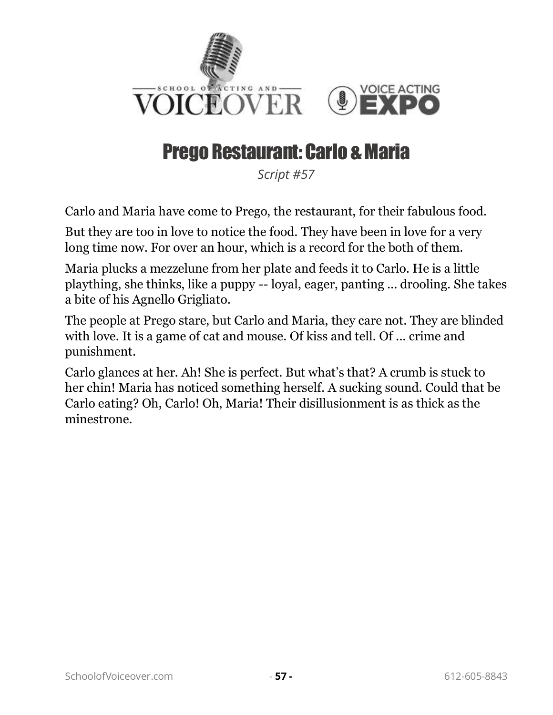

#### Prego Restaurant: Carlo & Maria

*Script #57*

Carlo and Maria have come to Prego, the restaurant, for their fabulous food.

But they are too in love to notice the food. They have been in love for a very long time now. For over an hour, which is a record for the both of them.

Maria plucks a mezzelune from her plate and feeds it to Carlo. He is a little plaything, she thinks, like a puppy -- loyal, eager, panting ... drooling. She takes a bite of his Agnello Grigliato.

The people at Prego stare, but Carlo and Maria, they care not. They are blinded with love. It is a game of cat and mouse. Of kiss and tell. Of ... crime and punishment.

Carlo glances at her. Ah! She is perfect. But what's that? A crumb is stuck to her chin! Maria has noticed something herself. A sucking sound. Could that be Carlo eating? Oh, Carlo! Oh, Maria! Their disillusionment is as thick as the minestrone.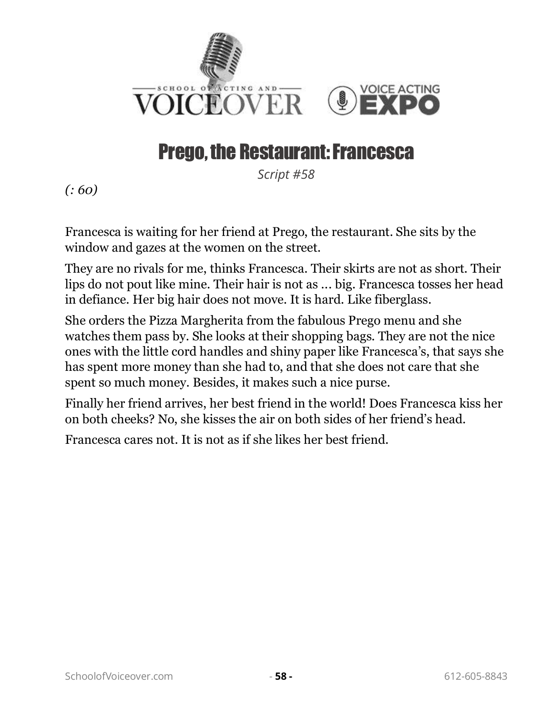

### Prego, the Restaurant: Francesca

*Script #58*

*(: 60)*

Francesca is waiting for her friend at Prego, the restaurant. She sits by the window and gazes at the women on the street.

They are no rivals for me, thinks Francesca. Their skirts are not as short. Their lips do not pout like mine. Their hair is not as ... big. Francesca tosses her head in defiance. Her big hair does not move. It is hard. Like fiberglass.

She orders the Pizza Margherita from the fabulous Prego menu and she watches them pass by. She looks at their shopping bags. They are not the nice ones with the little cord handles and shiny paper like Francesca's, that says she has spent more money than she had to, and that she does not care that she spent so much money. Besides, it makes such a nice purse.

Finally her friend arrives, her best friend in the world! Does Francesca kiss her on both cheeks? No, she kisses the air on both sides of her friend's head.

Francesca cares not. It is not as if she likes her best friend.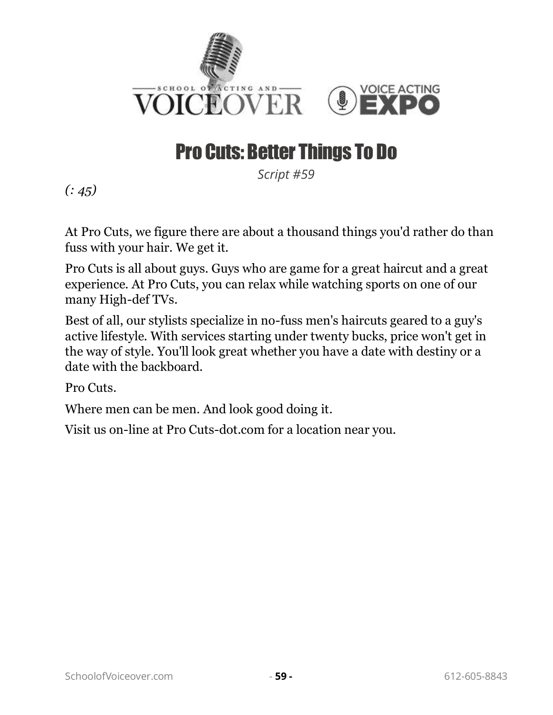

# Pro Cuts: Better Things To Do

*Script #59*

*(: 45)*

At Pro Cuts, we figure there are about a thousand things you'd rather do than fuss with your hair. We get it.

Pro Cuts is all about guys. Guys who are game for a great haircut and a great experience. At Pro Cuts, you can relax while watching sports on one of our many High-def TVs.

Best of all, our stylists specialize in no-fuss men's haircuts geared to a guy's active lifestyle. With services starting under twenty bucks, price won't get in the way of style. You'll look great whether you have a date with destiny or a date with the backboard.

Pro Cuts.

Where men can be men. And look good doing it.

Visit us on-line at Pro Cuts-dot.com for a location near you.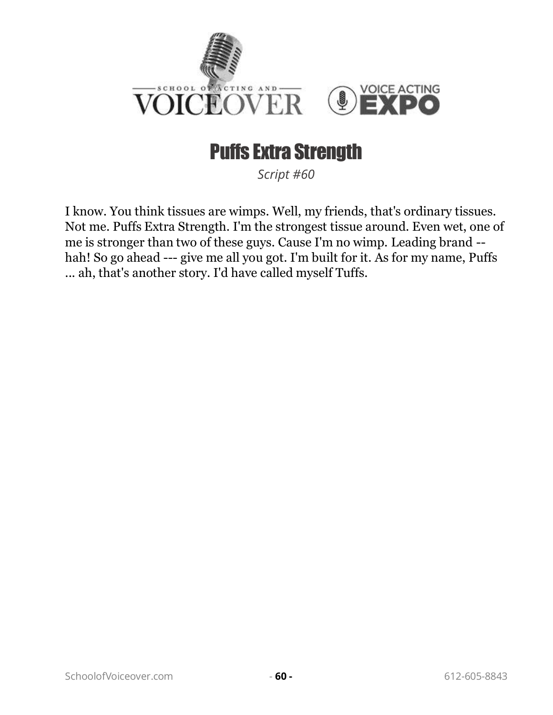

# Puffs Extra Strength

*Script #60*

I know. You think tissues are wimps. Well, my friends, that's ordinary tissues. Not me. Puffs Extra Strength. I'm the strongest tissue around. Even wet, one of me is stronger than two of these guys. Cause I'm no wimp. Leading brand - hah! So go ahead --- give me all you got. I'm built for it. As for my name, Puffs ... ah, that's another story. I'd have called myself Tuffs.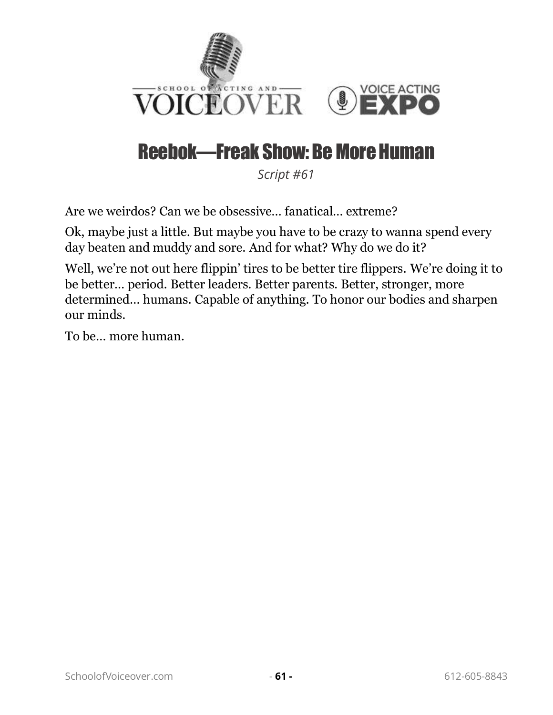

# Reebok—Freak Show: Be More Human

*Script #61*

Are we weirdos? Can we be obsessive… fanatical… extreme?

Ok, maybe just a little. But maybe you have to be crazy to wanna spend every day beaten and muddy and sore. And for what? Why do we do it?

Well, we're not out here flippin' tires to be better tire flippers. We're doing it to be better… period. Better leaders. Better parents. Better, stronger, more determined… humans. Capable of anything. To honor our bodies and sharpen our minds.

To be… more human.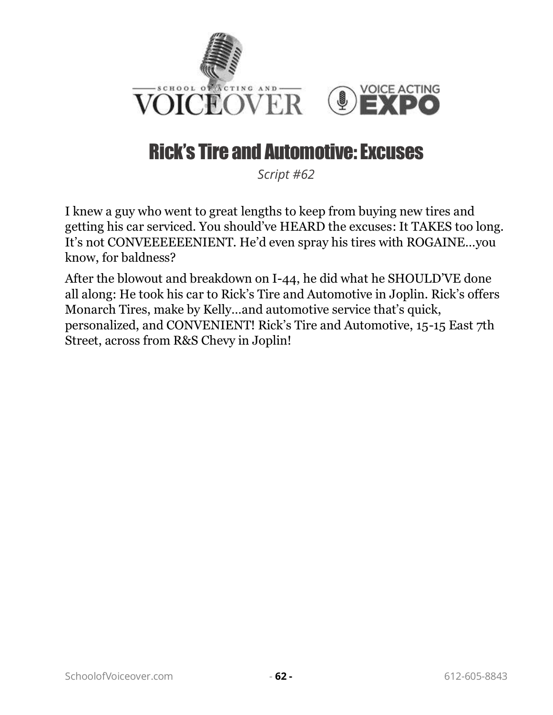

# Rick's Tire and Automotive: Excuses

*Script #62*

I knew a guy who went to great lengths to keep from buying new tires and getting his car serviced. You should've HEARD the excuses: It TAKES too long. It's not CONVEEEEEENIENT. He'd even spray his tires with ROGAINE…you know, for baldness?

After the blowout and breakdown on I-44, he did what he SHOULD'VE done all along: He took his car to Rick's Tire and Automotive in Joplin. Rick's offers Monarch Tires, make by Kelly…and automotive service that's quick, personalized, and CONVENIENT! Rick's Tire and Automotive, 15-15 East 7th Street, across from R&S Chevy in Joplin!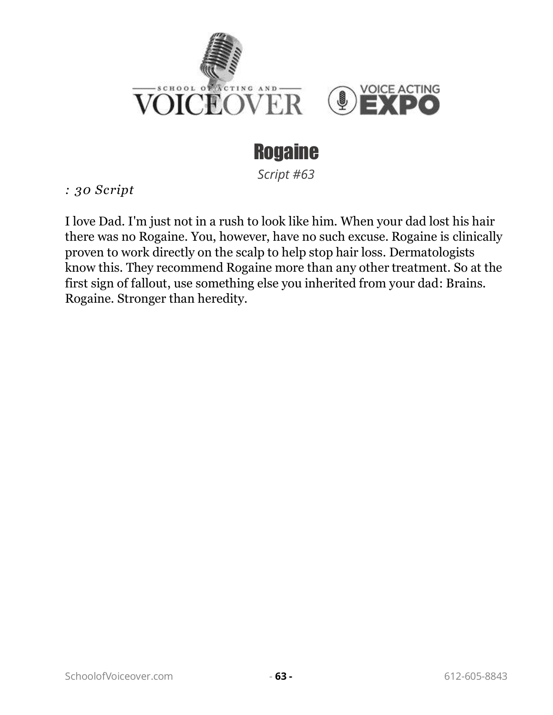

# **Rogaine**

*Script #63*

*: 30 Script* 

I love Dad. I'm just not in a rush to look like him. When your dad lost his hair there was no Rogaine. You, however, have no such excuse. Rogaine is clinically proven to work directly on the scalp to help stop hair loss. Dermatologists know this. They recommend Rogaine more than any other treatment. So at the first sign of fallout, use something else you inherited from your dad: Brains. Rogaine. Stronger than heredity.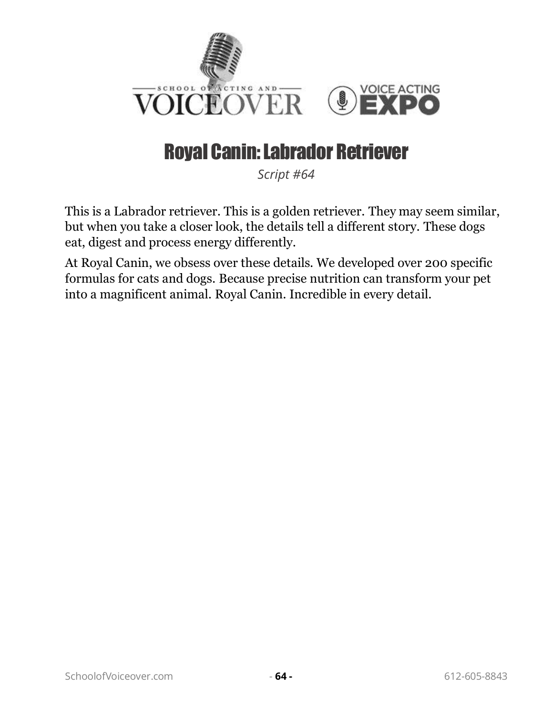

# Royal Canin: Labrador Retriever

*Script #64*

This is a Labrador retriever. This is a golden retriever. They may seem similar, but when you take a closer look, the details tell a different story. These dogs eat, digest and process energy differently.

At Royal Canin, we obsess over these details. We developed over 200 specific formulas for cats and dogs. Because precise nutrition can transform your pet into a magnificent animal. Royal Canin. Incredible in every detail.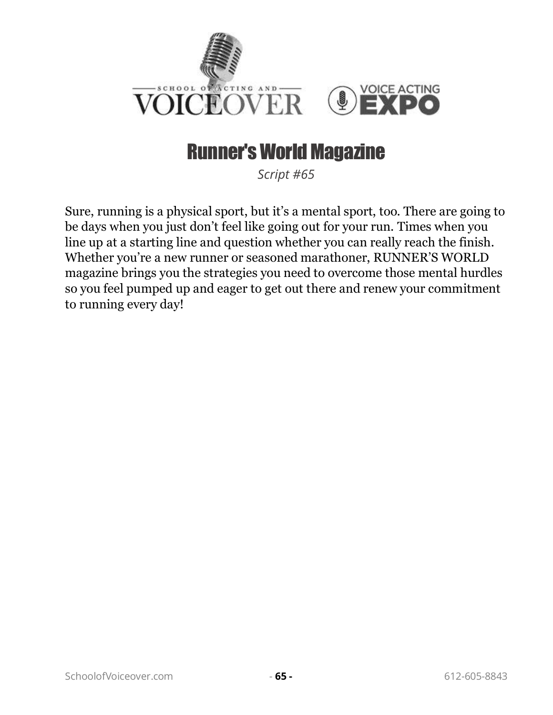

#### Runner's World Magazine

*Script #65*

Sure, running is a physical sport, but it's a mental sport, too. There are going to be days when you just don't feel like going out for your run. Times when you line up at a starting line and question whether you can really reach the finish. Whether you're a new runner or seasoned marathoner, RUNNER'S WORLD magazine brings you the strategies you need to overcome those mental hurdles so you feel pumped up and eager to get out there and renew your commitment to running every day!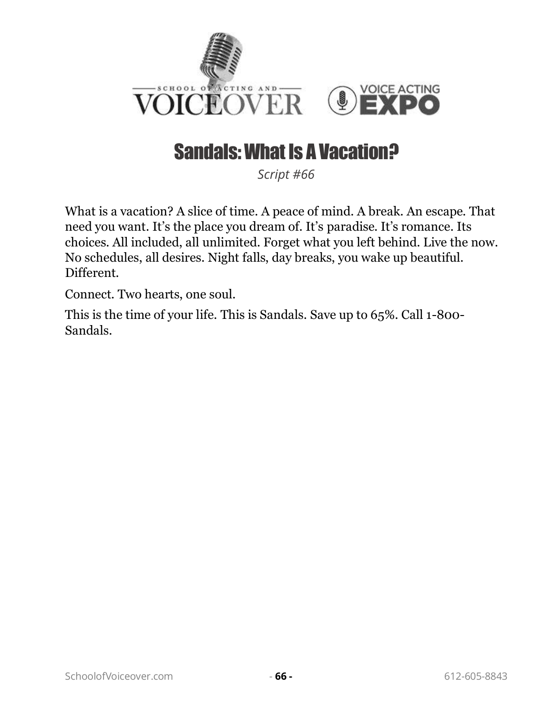

### Sandals: What Is A Vacation?

*Script #66*

What is a vacation? A slice of time. A peace of mind. A break. An escape. That need you want. It's the place you dream of. It's paradise. It's romance. Its choices. All included, all unlimited. Forget what you left behind. Live the now. No schedules, all desires. Night falls, day breaks, you wake up beautiful. Different.

Connect. Two hearts, one soul.

This is the time of your life. This is Sandals. Save up to 65%. Call 1-800- Sandals.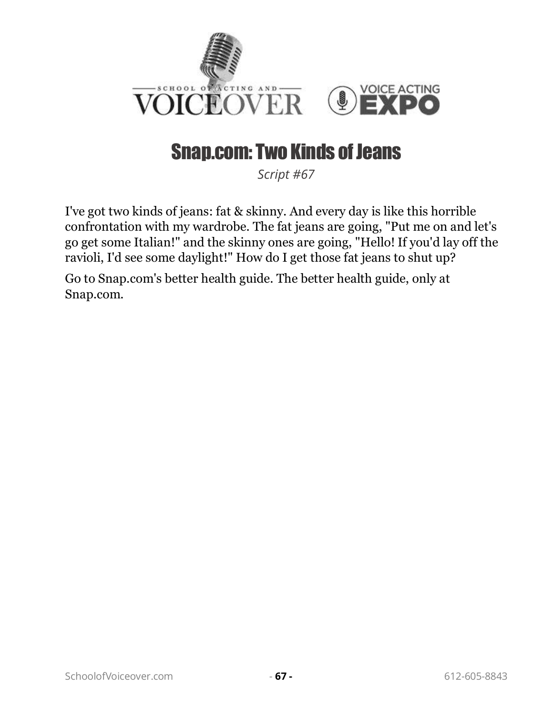

### Snap.com: Two Kinds of Jeans

*Script #67*

I've got two kinds of jeans: fat & skinny. And every day is like this horrible confrontation with my wardrobe. The fat jeans are going, "Put me on and let's go get some Italian!" and the skinny ones are going, "Hello! If you'd lay off the ravioli, I'd see some daylight!" How do I get those fat jeans to shut up?

Go to Snap.com's better health guide. The better health guide, only at Snap.com.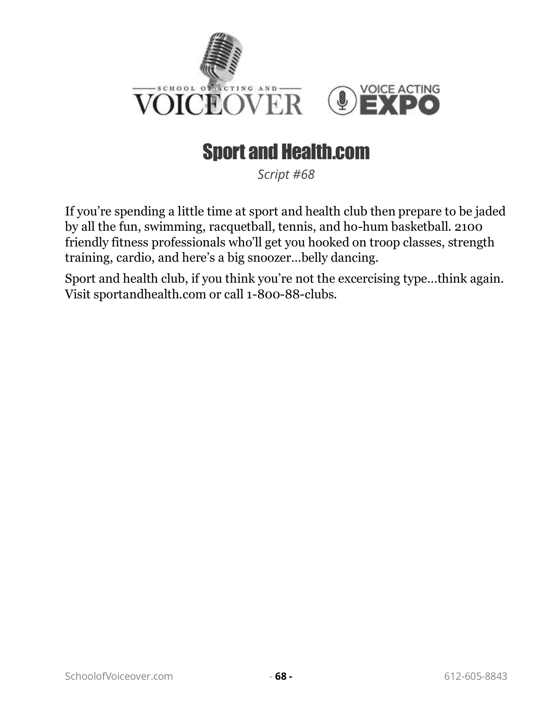

# Sport and Health.com

*Script #68*

If you're spending a little time at sport and health club then prepare to be jaded by all the fun, swimming, racquetball, tennis, and ho-hum basketball. 2100 friendly fitness professionals who'll get you hooked on troop classes, strength training, cardio, and here's a big snoozer…belly dancing.

Sport and health club, if you think you're not the excercising type…think again. Visit sportandhealth.com or call 1-800-88-clubs.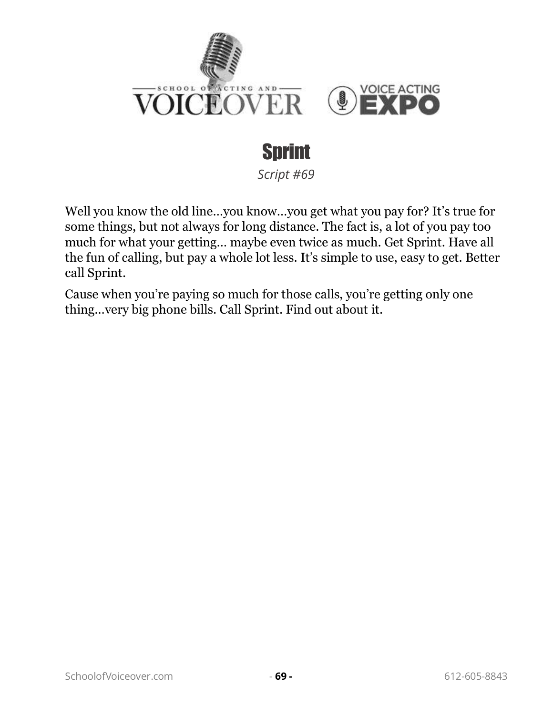

# Sprint

*Script #69*

Well you know the old line…you know…you get what you pay for? It's true for some things, but not always for long distance. The fact is, a lot of you pay too much for what your getting… maybe even twice as much. Get Sprint. Have all the fun of calling, but pay a whole lot less. It's simple to use, easy to get. Better call Sprint.

Cause when you're paying so much for those calls, you're getting only one thing…very big phone bills. Call Sprint. Find out about it.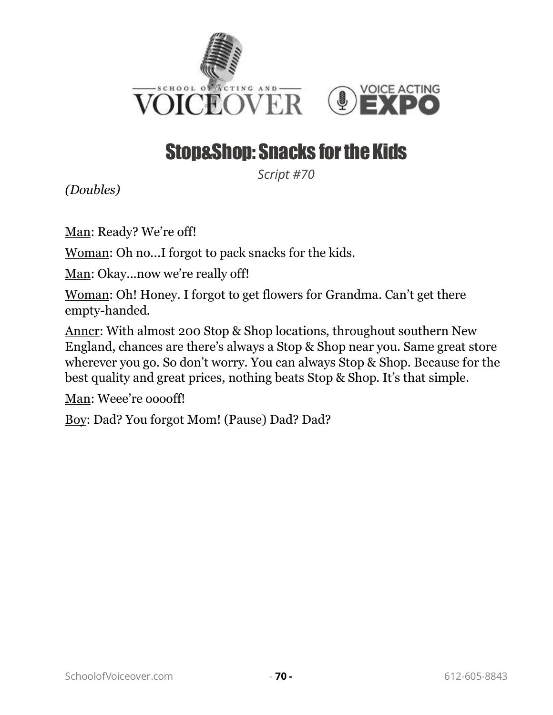

# Stop&Shop: Snacks for the Kids

*Script #70*

*(Doubles)*

Man: Ready? We're off!

Woman: Oh no...I forgot to pack snacks for the kids.

Man: Okay...now we're really off!

Woman: Oh! Honey. I forgot to get flowers for Grandma. Can't get there empty-handed.

Anncr: With almost 200 Stop & Shop locations, throughout southern New England, chances are there's always a Stop & Shop near you. Same great store wherever you go. So don't worry. You can always Stop & Shop. Because for the best quality and great prices, nothing beats Stop & Shop. It's that simple.

Man: Weee're ooooff!

Boy: Dad? You forgot Mom! (Pause) Dad? Dad?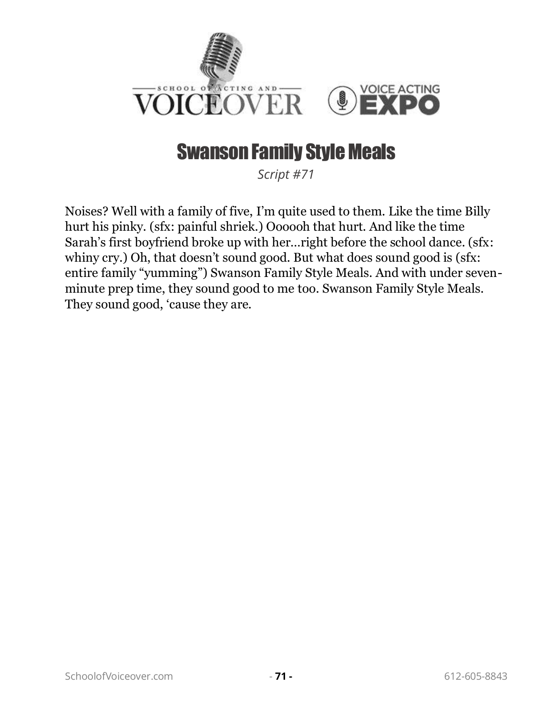

### Swanson Family Style Meals

*Script #71*

Noises? Well with a family of five, I'm quite used to them. Like the time Billy hurt his pinky. (sfx: painful shriek.) Oooooh that hurt. And like the time Sarah's first boyfriend broke up with her…right before the school dance. (sfx: whiny cry.) Oh, that doesn't sound good. But what does sound good is (sfx: entire family "yumming") Swanson Family Style Meals. And with under sevenminute prep time, they sound good to me too. Swanson Family Style Meals. They sound good, 'cause they are.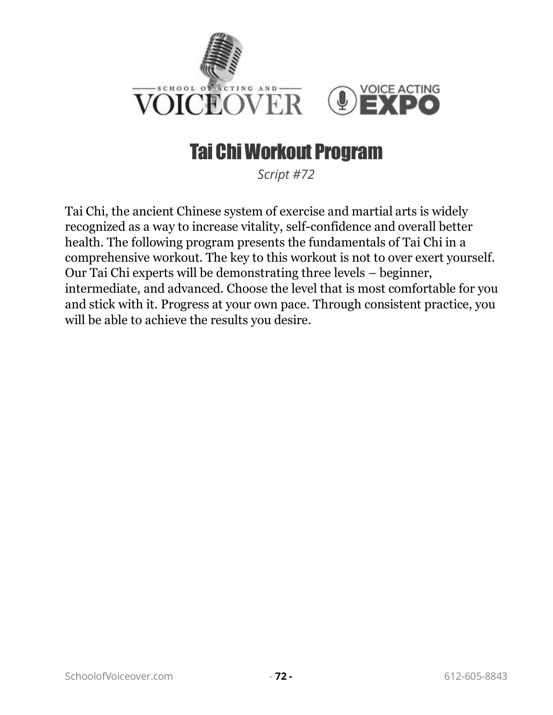

# Tai Chi Workout Program

*Script #72*

Tai Chi, the ancient Chinese system of exercise and martial arts is widely recognized as a way to increase vitality, self-confidence and overall better health. The following program presents the fundamentals of Tai Chi in a comprehensive workout. The key to this workout is not to over exert yourself. Our Tai Chi experts will be demonstrating three levels – beginner, intermediate, and advanced. Choose the level that is most comfortable for you and stick with it. Progress at your own pace. Through consistent practice, you will be able to achieve the results you desire.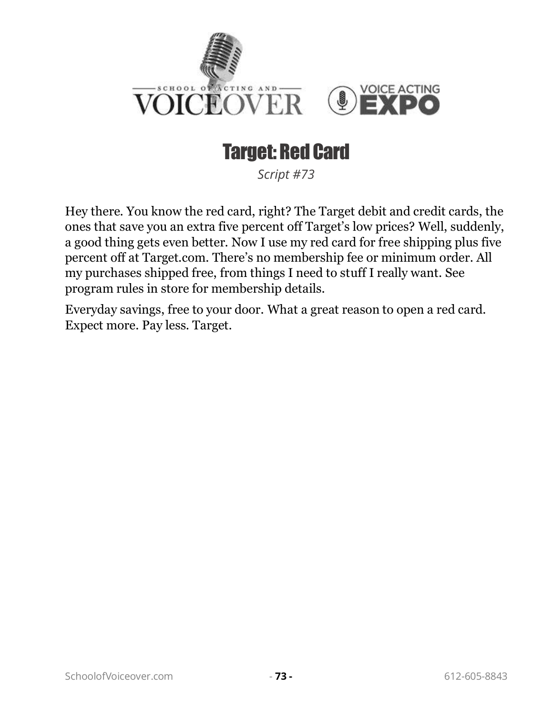

# Target: Red Card

*Script #73*

Hey there. You know the red card, right? The Target debit and credit cards, the ones that save you an extra five percent off Target's low prices? Well, suddenly, a good thing gets even better. Now I use my red card for free shipping plus five percent off at Target.com. There's no membership fee or minimum order. All my purchases shipped free, from things I need to stuff I really want. See program rules in store for membership details.

Everyday savings, free to your door. What a great reason to open a red card. Expect more. Pay less. Target.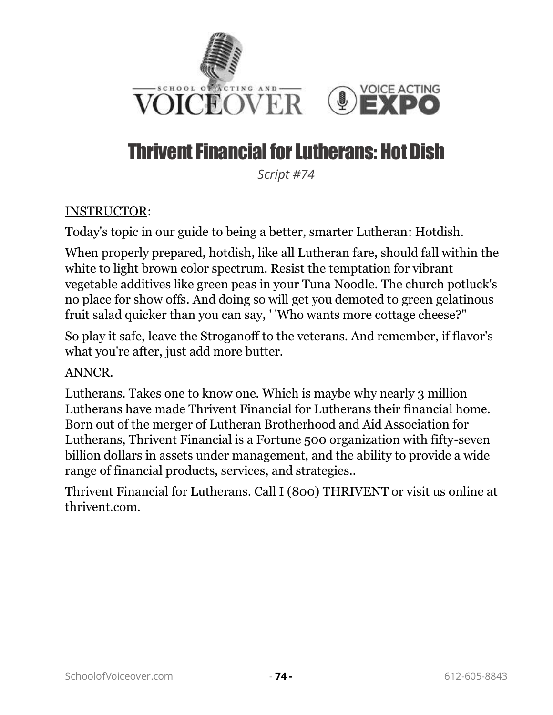

# Thrivent Financial for Lutherans: Hot Dish

*Script #74*

#### INSTRUCTOR:

Today's topic in our guide to being a better, smarter Lutheran: Hotdish.

When properly prepared, hotdish, like all Lutheran fare, should fall within the white to light brown color spectrum. Resist the temptation for vibrant vegetable additives like green peas in your Tuna Noodle. The church potluck's no place for show offs. And doing so will get you demoted to green gelatinous fruit salad quicker than you can say, ' 'Who wants more cottage cheese?"

So play it safe, leave the Stroganoff to the veterans. And remember, if flavor's what you're after, just add more butter.

#### ANNCR.

Lutherans. Takes one to know one. Which is maybe why nearly 3 million Lutherans have made Thrivent Financial for Lutherans their financial home. Born out of the merger of Lutheran Brotherhood and Aid Association for Lutherans, Thrivent Financial is a Fortune 500 organization with fifty-seven billion dollars in assets under management, and the ability to provide a wide range of financial products, services, and strategies..

Thrivent Financial for Lutherans. Call I (800) THRIVENT or visit us online at thrivent.com.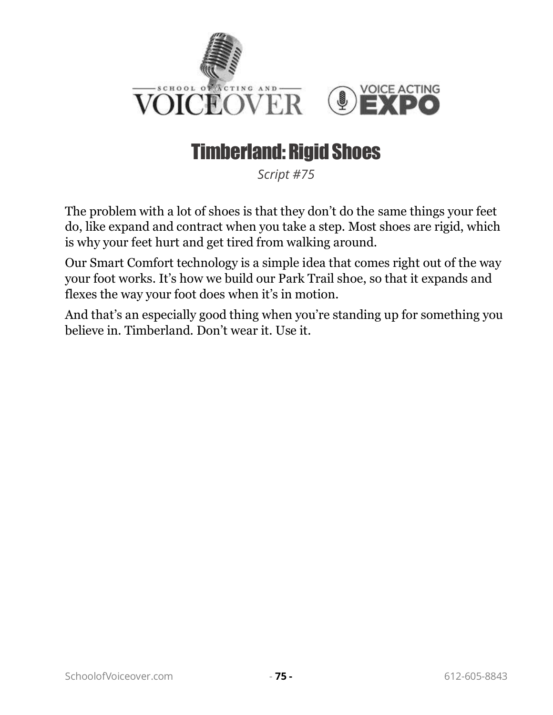

## Timberland: Rigid Shoes

*Script #75*

The problem with a lot of shoes is that they don't do the same things your feet do, like expand and contract when you take a step. Most shoes are rigid, which is why your feet hurt and get tired from walking around.

Our Smart Comfort technology is a simple idea that comes right out of the way your foot works. It's how we build our Park Trail shoe, so that it expands and flexes the way your foot does when it's in motion.

And that's an especially good thing when you're standing up for something you believe in. Timberland. Don't wear it. Use it.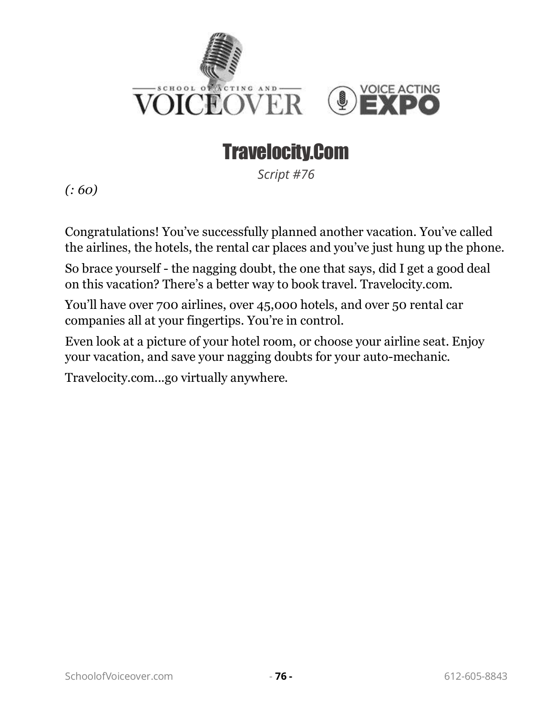

# Travelocity.Com

*Script #76*

*(: 60)*

Congratulations! You've successfully planned another vacation. You've called the airlines, the hotels, the rental car places and you've just hung up the phone.

So brace yourself - the nagging doubt, the one that says, did I get a good deal on this vacation? There's a better way to book travel. Travelocity.com.

You'll have over 700 airlines, over 45,000 hotels, and over 50 rental car companies all at your fingertips. You're in control.

Even look at a picture of your hotel room, or choose your airline seat. Enjoy your vacation, and save your nagging doubts for your auto-mechanic.

Travelocity.com...go virtually anywhere.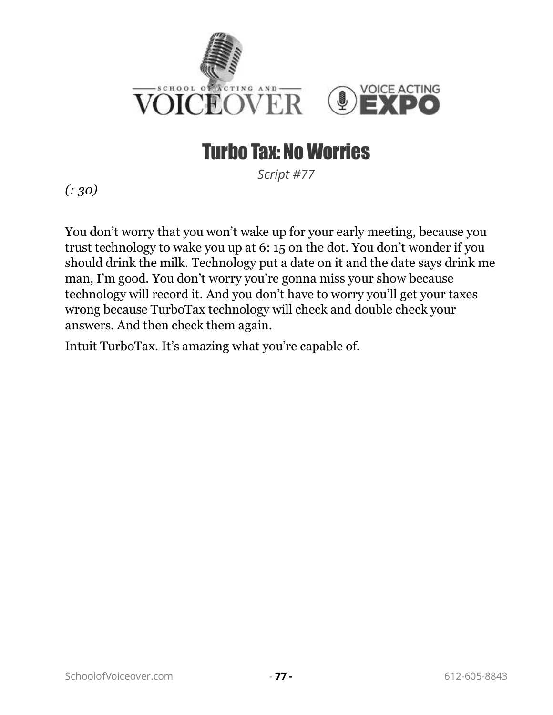

# Turbo Tax: No Worries

*Script #77*

*(: 30)*

You don't worry that you won't wake up for your early meeting, because you trust technology to wake you up at 6: 15 on the dot. You don't wonder if you should drink the milk. Technology put a date on it and the date says drink me man, I'm good. You don't worry you're gonna miss your show because technology will record it. And you don't have to worry you'll get your taxes wrong because TurboTax technology will check and double check your answers. And then check them again.

Intuit TurboTax. It's amazing what you're capable of.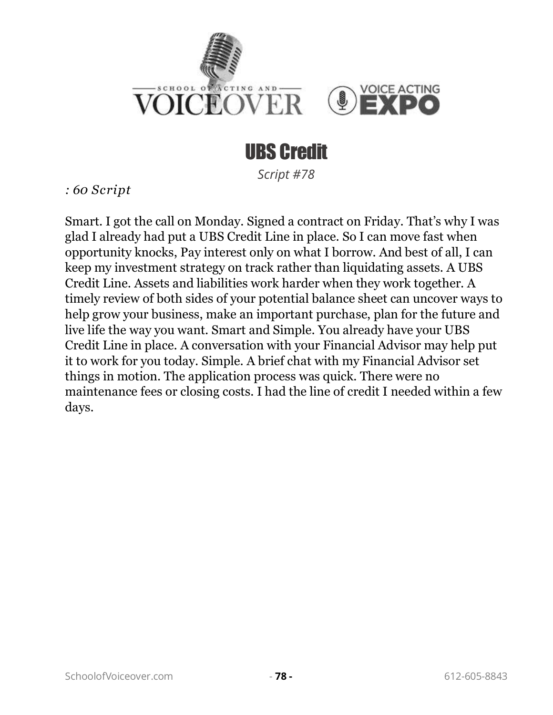

#### UBS Credit

*Script #78*

*: 60 Script* 

Smart. I got the call on Monday. Signed a contract on Friday. That's why I was glad I already had put a UBS Credit Line in place. So I can move fast when opportunity knocks, Pay interest only on what I borrow. And best of all, I can keep my investment strategy on track rather than liquidating assets. A UBS Credit Line. Assets and liabilities work harder when they work together. A timely review of both sides of your potential balance sheet can uncover ways to help grow your business, make an important purchase, plan for the future and live life the way you want. Smart and Simple. You already have your UBS Credit Line in place. A conversation with your Financial Advisor may help put it to work for you today. Simple. A brief chat with my Financial Advisor set things in motion. The application process was quick. There were no maintenance fees or closing costs. I had the line of credit I needed within a few days.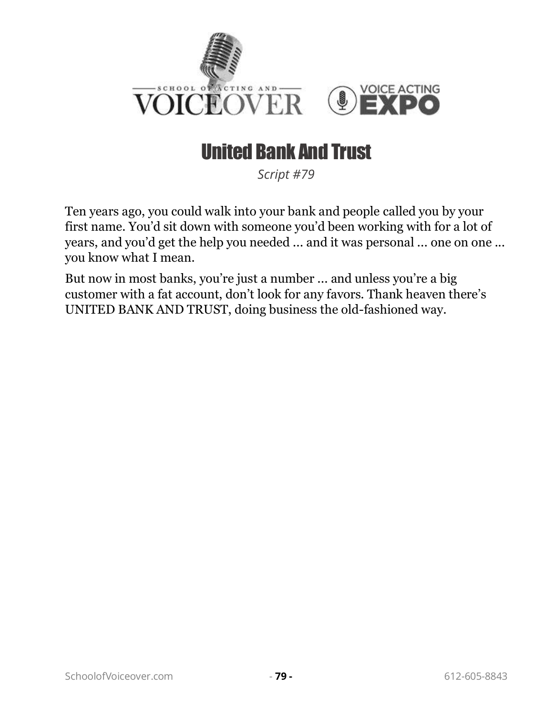

# United Bank And Trust

*Script #79*

Ten years ago, you could walk into your bank and people called you by your first name. You'd sit down with someone you'd been working with for a lot of years, and you'd get the help you needed ... and it was personal ... one on one ... you know what I mean.

But now in most banks, you're just a number ... and unless you're a big customer with a fat account, don't look for any favors. Thank heaven there's UNITED BANK AND TRUST, doing business the old-fashioned way.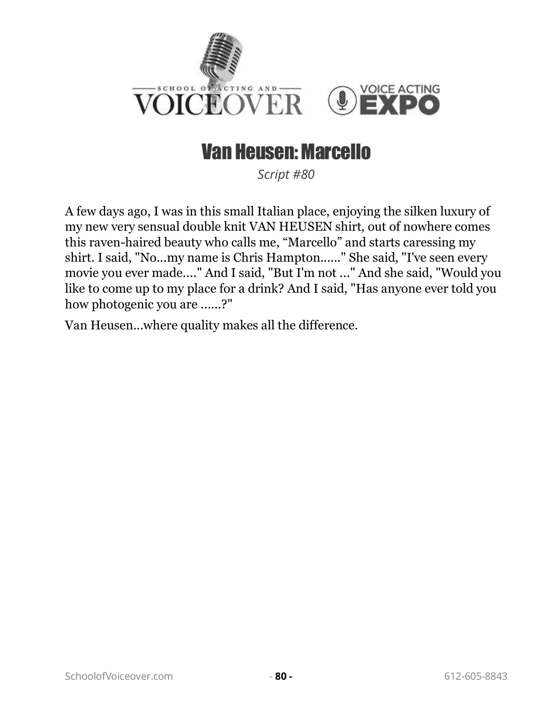

#### Van Heusen: Marcello

*Script #80*

A few days ago, I was in this small Italian place, enjoying the silken luxury of my new very sensual double knit VAN HEUSEN shirt, out of nowhere comes this raven-haired beauty who calls me, "Marcello" and starts caressing my shirt. I said, "No...my name is Chris Hampton......" She said, "I've seen every movie you ever made...." And I said, "But I'm not ..." And she said, "Would you like to come up to my place for a drink? And I said, "Has anyone ever told you how photogenic you are ......?"

Van Heusen...where quality makes all the difference.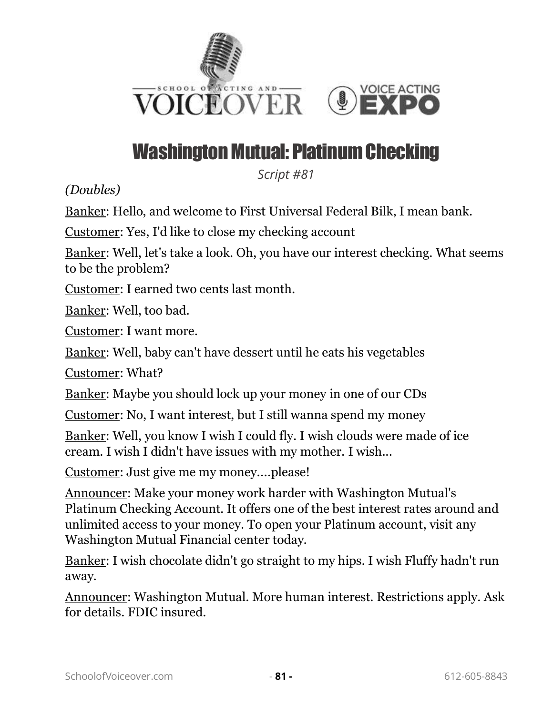

# Washington Mutual: Platinum Checking

*Script #81*

*(Doubles)*

Banker: Hello, and welcome to First Universal Federal Bilk, I mean bank.

Customer: Yes, I'd like to close my checking account

Banker: Well, let's take a look. Oh, you have our interest checking. What seems to be the problem?

Customer: I earned two cents last month.

Banker: Well, too bad.

Customer: I want more.

Banker: Well, baby can't have dessert until he eats his vegetables

Customer: What?

Banker: Maybe you should lock up your money in one of our CDs

Customer: No, I want interest, but I still wanna spend my money

Banker: Well, you know I wish I could fly. I wish clouds were made of ice cream. I wish I didn't have issues with my mother. I wish...

Customer: Just give me my money....please!

Announcer: Make your money work harder with Washington Mutual's Platinum Checking Account. It offers one of the best interest rates around and unlimited access to your money. To open your Platinum account, visit any Washington Mutual Financial center today.

Banker: I wish chocolate didn't go straight to my hips. I wish Fluffy hadn't run away.

Announcer: Washington Mutual. More human interest. Restrictions apply. Ask for details. FDIC insured.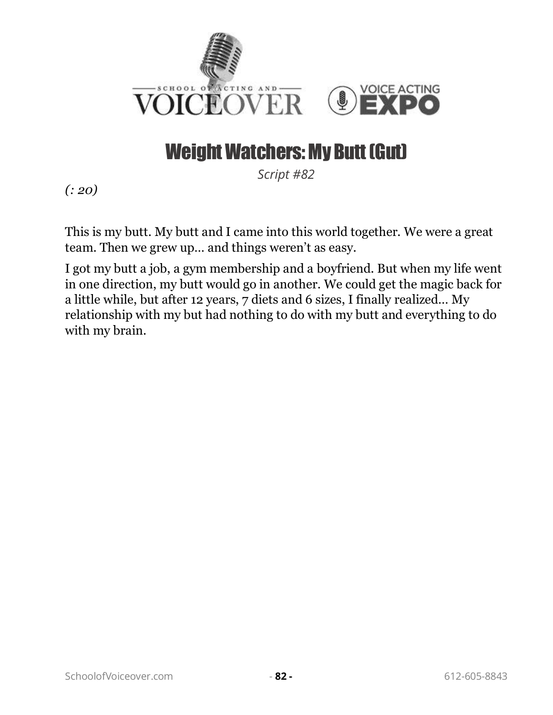

### Weight Watchers: My Butt (Gut)

*Script #82*

*(: 20)*

This is my butt. My butt and I came into this world together. We were a great team. Then we grew up… and things weren't as easy.

I got my butt a job, a gym membership and a boyfriend. But when my life went in one direction, my butt would go in another. We could get the magic back for a little while, but after 12 years, 7 diets and 6 sizes, I finally realized… My relationship with my but had nothing to do with my butt and everything to do with my brain.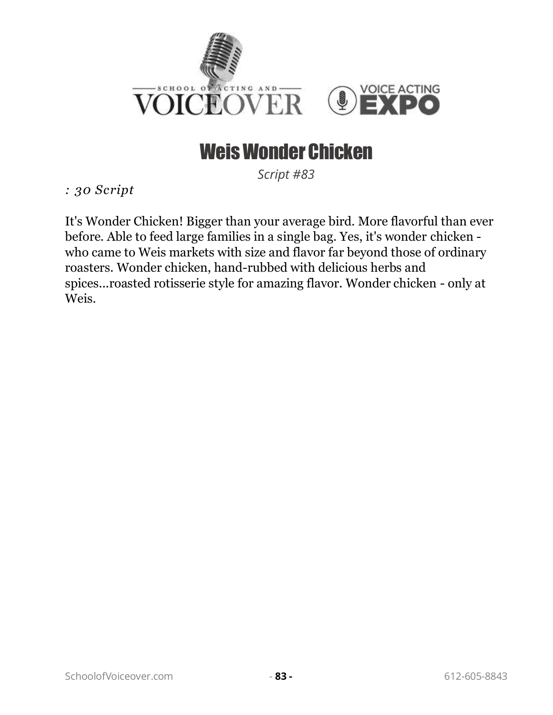

### Weis Wonder Chicken

*Script #83*

*: 30 Script* 

It's Wonder Chicken! Bigger than your average bird. More flavorful than ever before. Able to feed large families in a single bag. Yes, it's wonder chicken who came to Weis markets with size and flavor far beyond those of ordinary roasters. Wonder chicken, hand-rubbed with delicious herbs and spices...roasted rotisserie style for amazing flavor. Wonder chicken - only at Weis.